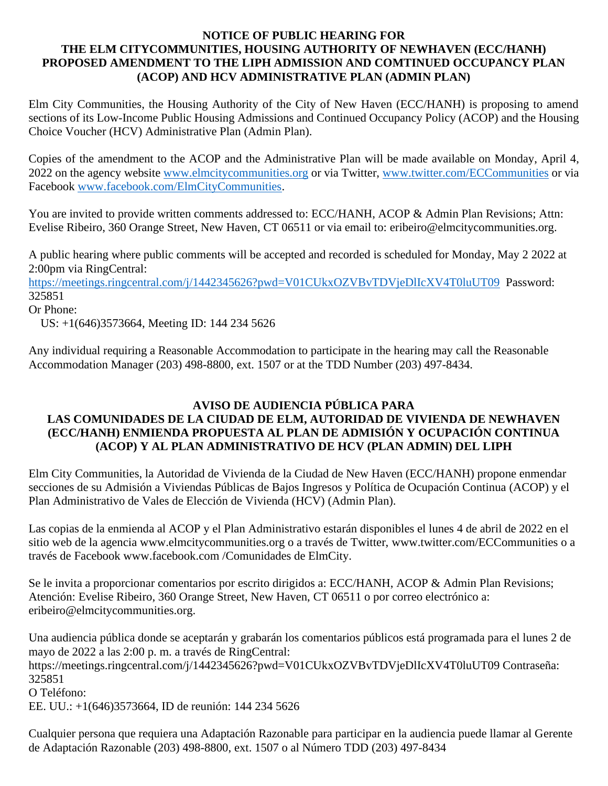### **NOTICE OF PUBLIC HEARING FOR THE ELM CITYCOMMUNITIES, HOUSING AUTHORITY OF NEWHAVEN (ECC/HANH) PROPOSED AMENDMENT TO THE LIPH ADMISSION AND COMTINUED OCCUPANCY PLAN (ACOP) AND HCV ADMINISTRATIVE PLAN (ADMIN PLAN)**

Elm City Communities, the Housing Authority of the City of New Haven (ECC/HANH) is proposing to amend sections of its Low-Income Public Housing Admissions and Continued Occupancy Policy (ACOP) and the Housing Choice Voucher (HCV) Administrative Plan (Admin Plan).

Copies of the amendment to the ACOP and the Administrative Plan will be made available on Monday, April 4, 2022 on the agency website [www.elmcitycommunities.org](http://www.elmcitycommunities.org/) or via Twitter, [www.twitter.com/ECCommunities](http://www.twitter.com/ECCommunities) or via Facebook [www.facebook.com/ElmCityCommunities.](http://www.facebook.com/ElmCityCommunities)

You are invited to provide written comments addressed to: ECC/HANH, ACOP & Admin Plan Revisions; Attn: Evelise Ribeiro, 360 Orange Street, New Haven, CT 06511 or via email to: eribeiro@elmcitycommunities.org.

A public hearing where public comments will be accepted and recorded is scheduled for Monday, May 2 2022 at 2:00pm via RingCentral:

<https://meetings.ringcentral.com/j/1442345626?pwd=V01CUkxOZVBvTDVjeDlIcXV4T0luUT09>Password: 325851

```
Or Phone:
```
US: +1(646)3573664, Meeting ID: 144 234 5626

Any individual requiring a Reasonable Accommodation to participate in the hearing may call the Reasonable Accommodation Manager (203) 498-8800, ext. 1507 or at the TDD Number (203) 497-8434.

### **AVISO DE AUDIENCIA PÚBLICA PARA LAS COMUNIDADES DE LA CIUDAD DE ELM, AUTORIDAD DE VIVIENDA DE NEWHAVEN (ECC/HANH) ENMIENDA PROPUESTA AL PLAN DE ADMISIÓN Y OCUPACIÓN CONTINUA (ACOP) Y AL PLAN ADMINISTRATIVO DE HCV (PLAN ADMIN) DEL LIPH**

Elm City Communities, la Autoridad de Vivienda de la Ciudad de New Haven (ECC/HANH) propone enmendar secciones de su Admisión a Viviendas Públicas de Bajos Ingresos y Política de Ocupación Continua (ACOP) y el Plan Administrativo de Vales de Elección de Vivienda (HCV) (Admin Plan).

Las copias de la enmienda al ACOP y el Plan Administrativo estarán disponibles el lunes 4 de abril de 2022 en el sitio web de la agencia www.elmcitycommunities.org o a través de Twitter, www.twitter.com/ECCommunities o a través de Facebook www.facebook.com /Comunidades de ElmCity.

Se le invita a proporcionar comentarios por escrito dirigidos a: ECC/HANH, ACOP & Admin Plan Revisions; Atención: Evelise Ribeiro, 360 Orange Street, New Haven, CT 06511 o por correo electrónico a: eribeiro@elmcitycommunities.org.

Una audiencia pública donde se aceptarán y grabarán los comentarios públicos está programada para el lunes 2 de mayo de 2022 a las 2:00 p. m. a través de RingCentral: https://meetings.ringcentral.com/j/1442345626?pwd=V01CUkxOZVBvTDVjeDlIcXV4T0luUT09 Contraseña: 325851 O Teléfono: EE. UU.: +1(646)3573664, ID de reunión: 144 234 5626

Cualquier persona que requiera una Adaptación Razonable para participar en la audiencia puede llamar al Gerente de Adaptación Razonable (203) 498-8800, ext. 1507 o al Número TDD (203) 497-8434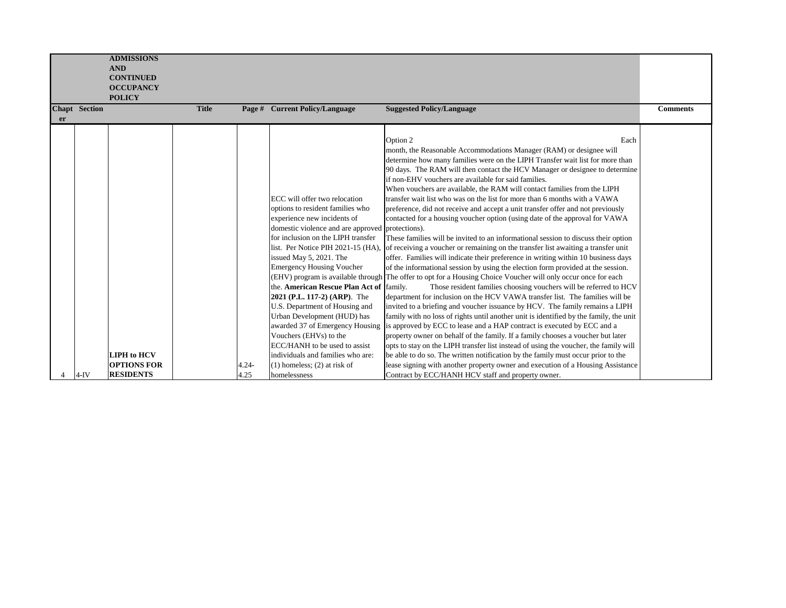|    |               | <b>ADMISSIONS</b>  |              |          |                                                  |                                                                                                                |                 |
|----|---------------|--------------------|--------------|----------|--------------------------------------------------|----------------------------------------------------------------------------------------------------------------|-----------------|
|    |               | <b>AND</b>         |              |          |                                                  |                                                                                                                |                 |
|    |               |                    |              |          |                                                  |                                                                                                                |                 |
|    |               | <b>CONTINUED</b>   |              |          |                                                  |                                                                                                                |                 |
|    |               | <b>OCCUPANCY</b>   |              |          |                                                  |                                                                                                                |                 |
|    |               | <b>POLICY</b>      |              |          |                                                  |                                                                                                                |                 |
|    | Chapt Section |                    | <b>Title</b> |          | Page # Current Policy/Language                   | <b>Suggested Policy/Language</b>                                                                               | <b>Comments</b> |
| er |               |                    |              |          |                                                  |                                                                                                                |                 |
|    |               |                    |              |          |                                                  |                                                                                                                |                 |
|    |               |                    |              |          |                                                  | Option 2<br>Each                                                                                               |                 |
|    |               |                    |              |          |                                                  | month, the Reasonable Accommodations Manager (RAM) or designee will                                            |                 |
|    |               |                    |              |          |                                                  | determine how many families were on the LIPH Transfer wait list for more than                                  |                 |
|    |               |                    |              |          |                                                  | 90 days. The RAM will then contact the HCV Manager or designee to determine                                    |                 |
|    |               |                    |              |          |                                                  | if non-EHV vouchers are available for said families.                                                           |                 |
|    |               |                    |              |          |                                                  | When vouchers are available, the RAM will contact families from the LIPH                                       |                 |
|    |               |                    |              |          | ECC will offer two relocation                    | transfer wait list who was on the list for more than 6 months with a VAWA                                      |                 |
|    |               |                    |              |          | options to resident families who                 | preference, did not receive and accept a unit transfer offer and not previously                                |                 |
|    |               |                    |              |          | experience new incidents of                      | contacted for a housing voucher option (using date of the approval for VAWA                                    |                 |
|    |               |                    |              |          | domestic violence and are approved protections). |                                                                                                                |                 |
|    |               |                    |              |          | for inclusion on the LIPH transfer               | These families will be invited to an informational session to discuss their option                             |                 |
|    |               |                    |              |          | list. Per Notice PIH 2021-15 (HA).               | of receiving a voucher or remaining on the transfer list awaiting a transfer unit                              |                 |
|    |               |                    |              |          | issued May 5, 2021. The                          | offer. Families will indicate their preference in writing within 10 business days                              |                 |
|    |               |                    |              |          | <b>Emergency Housing Voucher</b>                 | of the informational session by using the election form provided at the session.                               |                 |
|    |               |                    |              |          |                                                  | (EHV) program is available through The offer to opt for a Housing Choice Voucher will only occur once for each |                 |
|    |               |                    |              |          | the. American Rescue Plan Act of  family.        |                                                                                                                |                 |
|    |               |                    |              |          |                                                  | Those resident families choosing vouchers will be referred to HCV                                              |                 |
|    |               |                    |              |          | 2021 (P.L. 117-2) (ARP). The                     | department for inclusion on the HCV VAWA transfer list. The families will be                                   |                 |
|    |               |                    |              |          | U.S. Department of Housing and                   | invited to a briefing and voucher issuance by HCV. The family remains a LIPH                                   |                 |
|    |               |                    |              |          | Urban Development (HUD) has                      | family with no loss of rights until another unit is identified by the family, the unit                         |                 |
|    |               |                    |              |          | awarded 37 of Emergency Housing                  | is approved by ECC to lease and a HAP contract is executed by ECC and a                                        |                 |
|    |               |                    |              |          | Vouchers (EHVs) to the                           | property owner on behalf of the family. If a family chooses a voucher but later                                |                 |
|    |               |                    |              |          | ECC/HANH to be used to assist                    | opts to stay on the LIPH transfer list instead of using the voucher, the family will                           |                 |
|    |               | <b>LIPH</b> to HCV |              |          | individuals and families who are:                | be able to do so. The written notification by the family must occur prior to the                               |                 |
|    |               | <b>OPTIONS FOR</b> |              | $4.24 -$ | $(1)$ homeless; $(2)$ at risk of                 | lease signing with another property owner and execution of a Housing Assistance                                |                 |
|    | 4-IV          | <b>RESIDENTS</b>   |              | 4.25     | homelessness                                     | Contract by ECC/HANH HCV staff and property owner.                                                             |                 |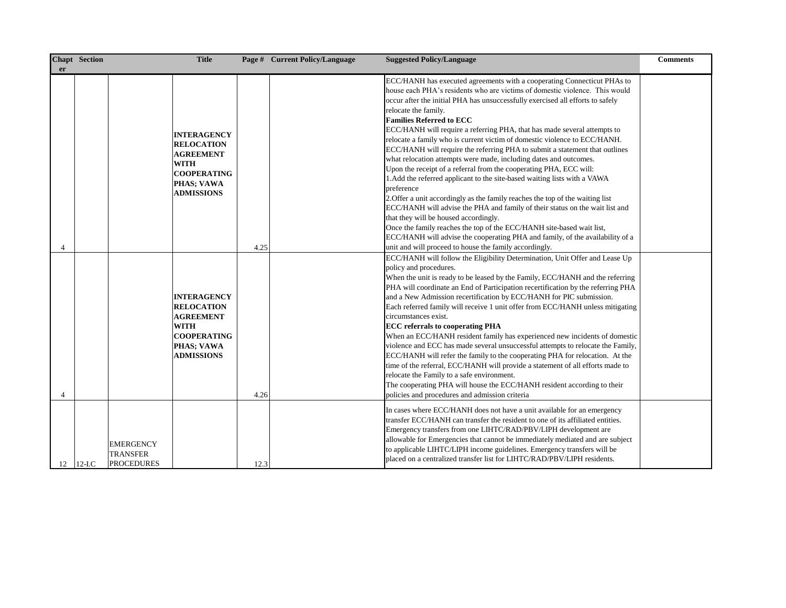| er             | <b>Chapt</b> Section | <b>Title</b>                                                                                                                        |      | Page # Current Policy/Language | <b>Suggested Policy/Language</b>                                                                                                                                                                                                                                                                                                                                                                                                                                                                                                                                                                                                                                                                                                                                                                                                                                                                                                                                                                                                                                                                                                                                                                                | <b>Comments</b> |
|----------------|----------------------|-------------------------------------------------------------------------------------------------------------------------------------|------|--------------------------------|-----------------------------------------------------------------------------------------------------------------------------------------------------------------------------------------------------------------------------------------------------------------------------------------------------------------------------------------------------------------------------------------------------------------------------------------------------------------------------------------------------------------------------------------------------------------------------------------------------------------------------------------------------------------------------------------------------------------------------------------------------------------------------------------------------------------------------------------------------------------------------------------------------------------------------------------------------------------------------------------------------------------------------------------------------------------------------------------------------------------------------------------------------------------------------------------------------------------|-----------------|
| 4              |                      | <b>INTERAGENCY</b><br><b>RELOCATION</b><br><b>AGREEMENT</b><br><b>WITH</b><br><b>COOPERATING</b><br>PHAS; VAWA<br><b>ADMISSIONS</b> | 4.25 |                                | ECC/HANH has executed agreements with a cooperating Connecticut PHAs to<br>house each PHA's residents who are victims of domestic violence. This would<br>occur after the initial PHA has unsuccessfully exercised all efforts to safely<br>relocate the family.<br><b>Families Referred to ECC</b><br>ECC/HANH will require a referring PHA, that has made several attempts to<br>relocate a family who is current victim of domestic violence to ECC/HANH.<br>ECC/HANH will require the referring PHA to submit a statement that outlines<br>what relocation attempts were made, including dates and outcomes.<br>Upon the receipt of a referral from the cooperating PHA, ECC will:<br>1. Add the referred applicant to the site-based waiting lists with a VAWA<br>preference<br>2. Offer a unit accordingly as the family reaches the top of the waiting list<br>ECC/HANH will advise the PHA and family of their status on the wait list and<br>that they will be housed accordingly.<br>Once the family reaches the top of the ECC/HANH site-based wait list,<br>ECC/HANH will advise the cooperating PHA and family, of the availability of a<br>unit and will proceed to house the family accordingly. |                 |
| $\overline{4}$ |                      | <b>INTERAGENCY</b><br><b>RELOCATION</b><br><b>AGREEMENT</b><br><b>WITH</b><br><b>COOPERATING</b><br>PHAS; VAWA<br><b>ADMISSIONS</b> | 4.26 |                                | ECC/HANH will follow the Eligibility Determination, Unit Offer and Lease Up<br>policy and procedures.<br>When the unit is ready to be leased by the Family, ECC/HANH and the referring<br>PHA will coordinate an End of Participation recertification by the referring PHA<br>and a New Admission recertification by ECC/HANH for PIC submission.<br>Each referred family will receive 1 unit offer from ECC/HANH unless mitigating<br>circumstances exist.<br><b>ECC</b> referrals to cooperating PHA<br>When an ECC/HANH resident family has experienced new incidents of domestic<br>violence and ECC has made several unsuccessful attempts to relocate the Family,<br>ECC/HANH will refer the family to the cooperating PHA for relocation. At the<br>time of the referral, ECC/HANH will provide a statement of all efforts made to<br>relocate the Family to a safe environment.<br>The cooperating PHA will house the ECC/HANH resident according to their<br>policies and procedures and admission criteria                                                                                                                                                                                            |                 |
| 12             | $12$ -I.C            | <b>EMERGENCY</b><br><b>TRANSFER</b><br><b>PROCEDURES</b>                                                                            | 12.3 |                                | In cases where ECC/HANH does not have a unit available for an emergency<br>transfer ECC/HANH can transfer the resident to one of its affiliated entities.<br>Emergency transfers from one LIHTC/RAD/PBV/LIPH development are<br>allowable for Emergencies that cannot be immediately mediated and are subject<br>to applicable LIHTC/LIPH income guidelines. Emergency transfers will be<br>placed on a centralized transfer list for LIHTC/RAD/PBV/LIPH residents.                                                                                                                                                                                                                                                                                                                                                                                                                                                                                                                                                                                                                                                                                                                                             |                 |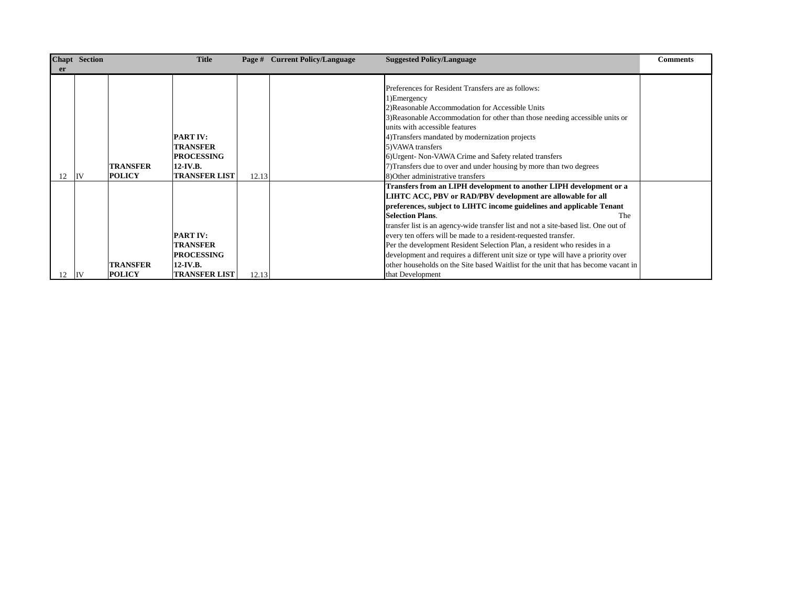|           | Chapt Section |                 | <b>Title</b>         |       | Page # Current Policy/Language | <b>Suggested Policy/Language</b>                                                    | <b>Comments</b> |
|-----------|---------------|-----------------|----------------------|-------|--------------------------------|-------------------------------------------------------------------------------------|-----------------|
| <b>er</b> |               |                 |                      |       |                                |                                                                                     |                 |
|           |               |                 |                      |       |                                |                                                                                     |                 |
|           |               |                 |                      |       |                                | Preferences for Resident Transfers are as follows:                                  |                 |
|           |               |                 |                      |       |                                | 1) Emergency                                                                        |                 |
|           |               |                 |                      |       |                                | 2) Reasonable Accommodation for Accessible Units                                    |                 |
|           |               |                 |                      |       |                                | 3) Reasonable Accommodation for other than those needing accessible units or        |                 |
|           |               |                 |                      |       |                                | units with accessible features                                                      |                 |
|           |               |                 | <b>PART IV:</b>      |       |                                | 4) Transfers mandated by modernization projects                                     |                 |
|           |               |                 | <b>TRANSFER</b>      |       |                                | 5) VAWA transfers                                                                   |                 |
|           |               |                 | <b>PROCESSING</b>    |       |                                | 6) Urgent-Non-VAWA Crime and Safety related transfers                               |                 |
|           |               | TRANSFER        | $12$ -IV.B.          |       |                                | 7) Transfers due to over and under housing by more than two degrees                 |                 |
| 12        | liv           | <b>POLICY</b>   | <b>TRANSFER LIST</b> | 12.13 |                                | 8) Other administrative transfers                                                   |                 |
|           |               |                 |                      |       |                                | Transfers from an LIPH development to another LIPH development or a                 |                 |
|           |               |                 |                      |       |                                | LIHTC ACC, PBV or RAD/PBV development are allowable for all                         |                 |
|           |               |                 |                      |       |                                | preferences, subject to LIHTC income guidelines and applicable Tenant               |                 |
|           |               |                 |                      |       |                                | <b>Selection Plans.</b><br>The                                                      |                 |
|           |               |                 |                      |       |                                | transfer list is an agency-wide transfer list and not a site-based list. One out of |                 |
|           |               |                 | <b>PART IV:</b>      |       |                                | every ten offers will be made to a resident-requested transfer.                     |                 |
|           |               |                 | <b>TRANSFER</b>      |       |                                | Per the development Resident Selection Plan, a resident who resides in a            |                 |
|           |               |                 | <b>PROCESSING</b>    |       |                                | development and requires a different unit size or type will have a priority over    |                 |
|           |               | <b>TRANSFER</b> | $12$ -IV.B.          |       |                                | other households on the Site based Waitlist for the unit that has become vacant in  |                 |
| 12        | IV            | <b>POLICY</b>   | <b>TRANSFER LIST</b> | 12.13 |                                | that Development                                                                    |                 |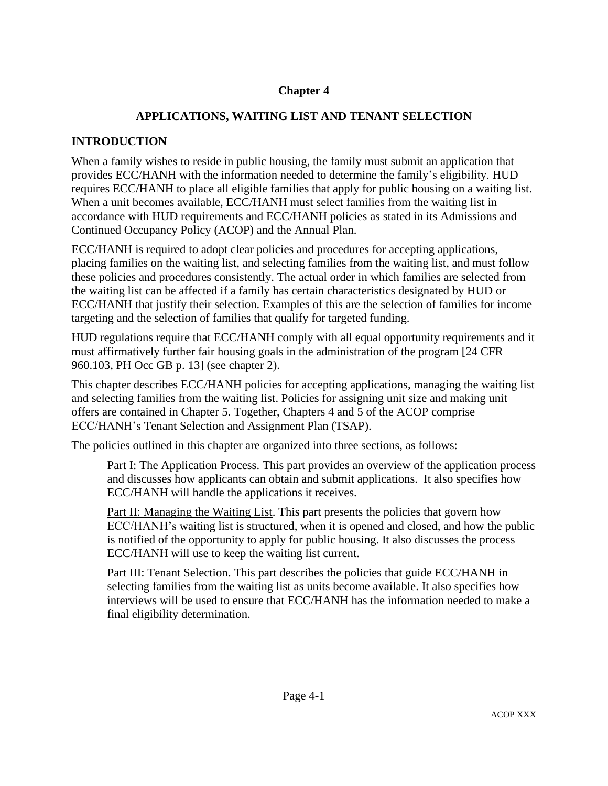# **Chapter 4**

# **APPLICATIONS, WAITING LIST AND TENANT SELECTION**

## **INTRODUCTION**

When a family wishes to reside in public housing, the family must submit an application that provides ECC/HANH with the information needed to determine the family's eligibility. HUD requires ECC/HANH to place all eligible families that apply for public housing on a waiting list. When a unit becomes available, ECC/HANH must select families from the waiting list in accordance with HUD requirements and ECC/HANH policies as stated in its Admissions and Continued Occupancy Policy (ACOP) and the Annual Plan.

ECC/HANH is required to adopt clear policies and procedures for accepting applications, placing families on the waiting list, and selecting families from the waiting list, and must follow these policies and procedures consistently. The actual order in which families are selected from the waiting list can be affected if a family has certain characteristics designated by HUD or ECC/HANH that justify their selection. Examples of this are the selection of families for income targeting and the selection of families that qualify for targeted funding.

HUD regulations require that ECC/HANH comply with all equal opportunity requirements and it must affirmatively further fair housing goals in the administration of the program [24 CFR 960.103, PH Occ GB p. 13] (see chapter 2).

This chapter describes ECC/HANH policies for accepting applications, managing the waiting list and selecting families from the waiting list. Policies for assigning unit size and making unit offers are contained in Chapter 5. Together, Chapters 4 and 5 of the ACOP comprise ECC/HANH's Tenant Selection and Assignment Plan (TSAP).

The policies outlined in this chapter are organized into three sections, as follows:

Part I: The Application Process. This part provides an overview of the application process and discusses how applicants can obtain and submit applications. It also specifies how ECC/HANH will handle the applications it receives.

Part II: Managing the Waiting List. This part presents the policies that govern how ECC/HANH's waiting list is structured, when it is opened and closed, and how the public is notified of the opportunity to apply for public housing. It also discusses the process ECC/HANH will use to keep the waiting list current.

Part III: Tenant Selection. This part describes the policies that guide ECC/HANH in selecting families from the waiting list as units become available. It also specifies how interviews will be used to ensure that ECC/HANH has the information needed to make a final eligibility determination.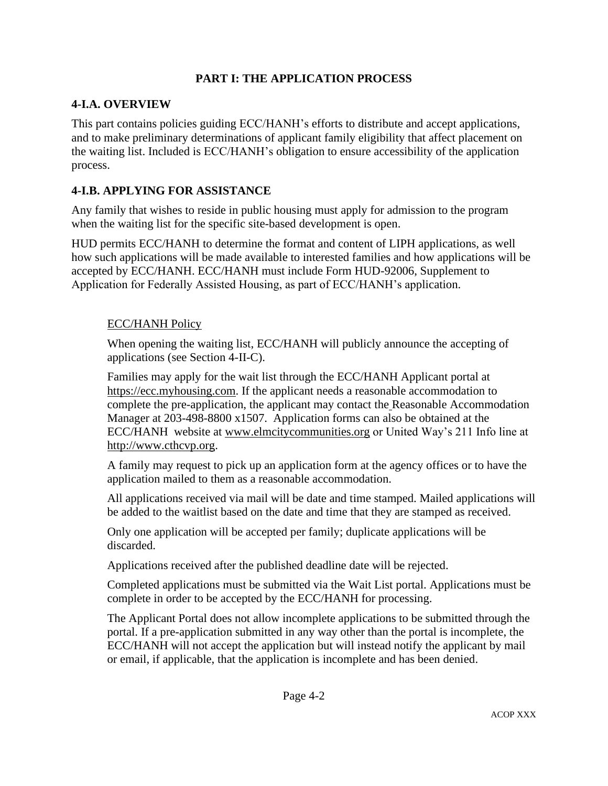## **PART I: THE APPLICATION PROCESS**

### **4-I.A. OVERVIEW**

This part contains policies guiding ECC/HANH's efforts to distribute and accept applications, and to make preliminary determinations of applicant family eligibility that affect placement on the waiting list. Included is ECC/HANH's obligation to ensure accessibility of the application process.

## **4-I.B. APPLYING FOR ASSISTANCE**

Any family that wishes to reside in public housing must apply for admission to the program when the waiting list for the specific site-based development is open.

HUD permits ECC/HANH to determine the format and content of LIPH applications, as well how such applications will be made available to interested families and how applications will be accepted by ECC/HANH. ECC/HANH must include Form HUD-92006, Supplement to Application for Federally Assisted Housing, as part of ECC/HANH's application.

### ECC/HANH Policy

When opening the waiting list, ECC/HANH will publicly announce the accepting of applications (see Section 4-II-C).

Families may apply for the wait list through the ECC/HANH Applicant portal at [https://ecc.myhousing.com.](https://ecc.myhousing.com/) If the applicant needs a reasonable accommodation to complete the pre-application, the applicant may contact the Reasonable Accommodation Manager at 203-498-8800 x1507. Application forms can also be obtained at the ECC/HANH website at [www.elmcitycommunities.org](http://www.elmcitycommunities.org/) or United Way's 211 Info line at [http://www.cthcvp.org.](http://www.http/www.cthcvp.org)

A family may request to pick up an application form at the agency offices or to have the application mailed to them as a reasonable accommodation.

All applications received via mail will be date and time stamped. Mailed applications will be added to the waitlist based on the date and time that they are stamped as received.

Only one application will be accepted per family; duplicate applications will be discarded.

Applications received after the published deadline date will be rejected.

Completed applications must be submitted via the Wait List portal. Applications must be complete in order to be accepted by the ECC/HANH for processing.

The Applicant Portal does not allow incomplete applications to be submitted through the portal. If a pre-application submitted in any way other than the portal is incomplete, the ECC/HANH will not accept the application but will instead notify the applicant by mail or email, if applicable, that the application is incomplete and has been denied.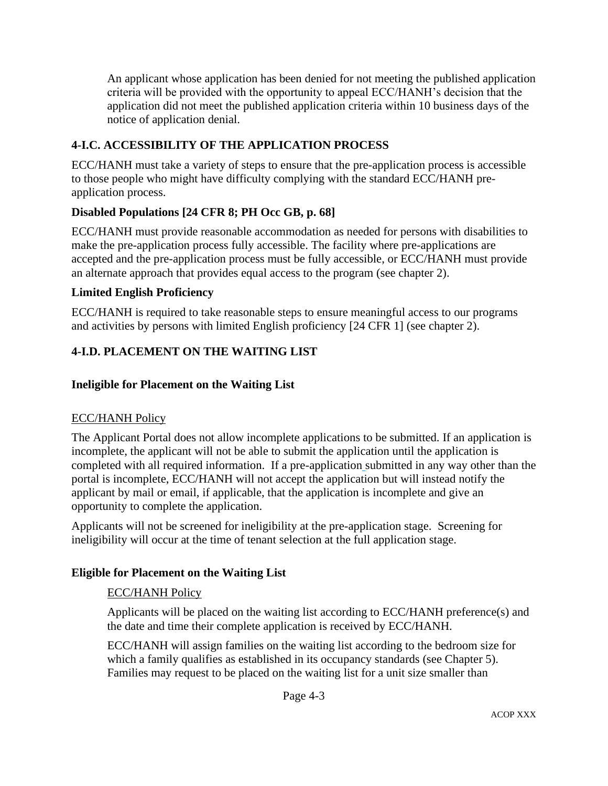An applicant whose application has been denied for not meeting the published application criteria will be provided with the opportunity to appeal ECC/HANH's decision that the application did not meet the published application criteria within 10 business days of the notice of application denial.

## **4-I.C. ACCESSIBILITY OF THE APPLICATION PROCESS**

ECC/HANH must take a variety of steps to ensure that the pre-application process is accessible to those people who might have difficulty complying with the standard ECC/HANH preapplication process.

## **Disabled Populations [24 CFR 8; PH Occ GB, p. 68]**

ECC/HANH must provide reasonable accommodation as needed for persons with disabilities to make the pre-application process fully accessible. The facility where pre-applications are accepted and the pre-application process must be fully accessible, or ECC/HANH must provide an alternate approach that provides equal access to the program (see chapter 2).

## **Limited English Proficiency**

ECC/HANH is required to take reasonable steps to ensure meaningful access to our programs and activities by persons with limited English proficiency [24 CFR 1] (see chapter 2).

## **4-I.D. PLACEMENT ON THE WAITING LIST**

### **Ineligible for Placement on the Waiting List**

### ECC/HANH Policy

The Applicant Portal does not allow incomplete applications to be submitted. If an application is incomplete, the applicant will not be able to submit the application until the application is completed with all required information. If a pre-application submitted in any way other than the portal is incomplete, ECC/HANH will not accept the application but will instead notify the applicant by mail or email, if applicable, that the application is incomplete and give an opportunity to complete the application.

Applicants will not be screened for ineligibility at the pre-application stage. Screening for ineligibility will occur at the time of tenant selection at the full application stage.

### **Eligible for Placement on the Waiting List**

### ECC/HANH Policy

Applicants will be placed on the waiting list according to ECC/HANH preference(s) and the date and time their complete application is received by ECC/HANH.

ECC/HANH will assign families on the waiting list according to the bedroom size for which a family qualifies as established in its occupancy standards (see Chapter 5). Families may request to be placed on the waiting list for a unit size smaller than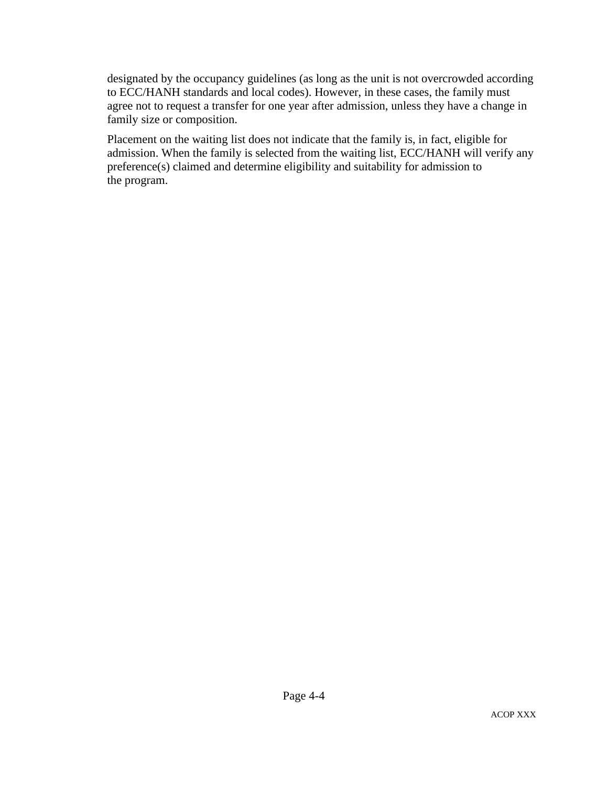designated by the occupancy guidelines (as long as the unit is not overcrowded according to ECC/HANH standards and local codes). However, in these cases, the family must agree not to request a transfer for one year after admission, unless they have a change in family size or composition.

Placement on the waiting list does not indicate that the family is, in fact, eligible for admission. When the family is selected from the waiting list, ECC/HANH will verify any preference(s) claimed and determine eligibility and suitability for admission to the program.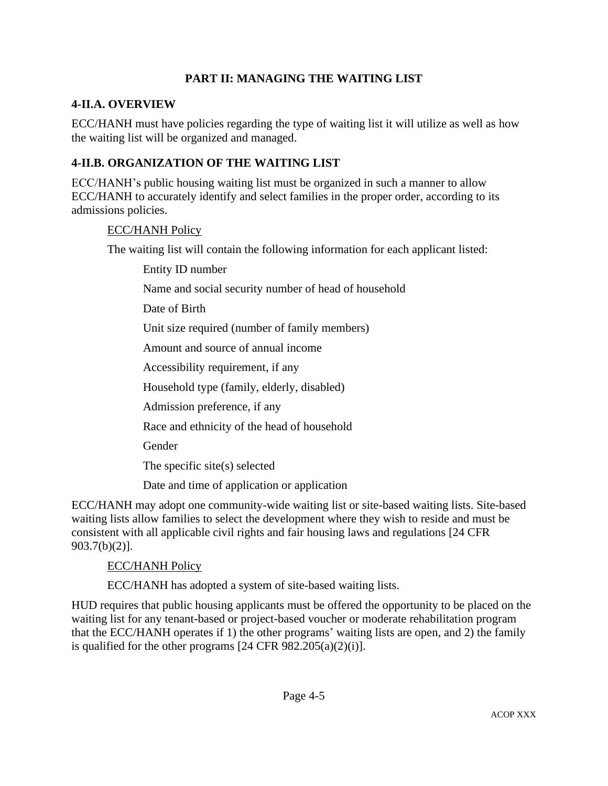## **PART II: MANAGING THE WAITING LIST**

### **4-II.A. OVERVIEW**

ECC/HANH must have policies regarding the type of waiting list it will utilize as well as how the waiting list will be organized and managed.

## **4-II.B. ORGANIZATION OF THE WAITING LIST**

ECC/HANH's public housing waiting list must be organized in such a manner to allow ECC/HANH to accurately identify and select families in the proper order, according to its admissions policies.

#### ECC/HANH Policy

The waiting list will contain the following information for each applicant listed:

Entity ID number

Name and social security number of head of household

Date of Birth

Unit size required (number of family members)

Amount and source of annual income

Accessibility requirement, if any

Household type (family, elderly, disabled)

Admission preference, if any

Race and ethnicity of the head of household

Gender

The specific site(s) selected

Date and time of application or application

ECC/HANH may adopt one community-wide waiting list or site-based waiting lists. Site-based waiting lists allow families to select the development where they wish to reside and must be consistent with all applicable civil rights and fair housing laws and regulations [24 CFR 903.7(b)(2)].

### ECC/HANH Policy

ECC/HANH has adopted a system of site-based waiting lists.

HUD requires that public housing applicants must be offered the opportunity to be placed on the waiting list for any tenant-based or project-based voucher or moderate rehabilitation program that the ECC/HANH operates if 1) the other programs' waiting lists are open, and 2) the family is qualified for the other programs  $[24 \text{ CFR } 982.205(a)(2)(i)].$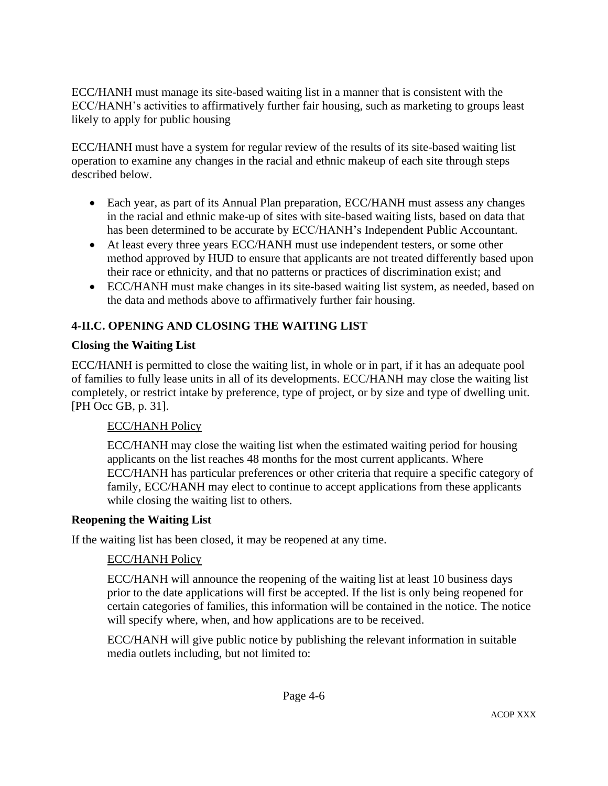ECC/HANH must manage its site-based waiting list in a manner that is consistent with the ECC/HANH's activities to affirmatively further fair housing, such as marketing to groups least likely to apply for public housing

ECC/HANH must have a system for regular review of the results of its site-based waiting list operation to examine any changes in the racial and ethnic makeup of each site through steps described below.

- Each year, as part of its Annual Plan preparation, ECC/HANH must assess any changes in the racial and ethnic make-up of sites with site-based waiting lists, based on data that has been determined to be accurate by ECC/HANH's Independent Public Accountant.
- At least every three years ECC/HANH must use independent testers, or some other method approved by HUD to ensure that applicants are not treated differently based upon their race or ethnicity, and that no patterns or practices of discrimination exist; and
- ECC/HANH must make changes in its site-based waiting list system, as needed, based on the data and methods above to affirmatively further fair housing.

# **4-II.C. OPENING AND CLOSING THE WAITING LIST**

## **Closing the Waiting List**

ECC/HANH is permitted to close the waiting list, in whole or in part, if it has an adequate pool of families to fully lease units in all of its developments. ECC/HANH may close the waiting list completely, or restrict intake by preference, type of project, or by size and type of dwelling unit. [PH Occ GB, p. 31].

## ECC/HANH Policy

ECC/HANH may close the waiting list when the estimated waiting period for housing applicants on the list reaches 48 months for the most current applicants. Where ECC/HANH has particular preferences or other criteria that require a specific category of family, ECC/HANH may elect to continue to accept applications from these applicants while closing the waiting list to others.

### **Reopening the Waiting List**

If the waiting list has been closed, it may be reopened at any time.

## ECC/HANH Policy

ECC/HANH will announce the reopening of the waiting list at least 10 business days prior to the date applications will first be accepted. If the list is only being reopened for certain categories of families, this information will be contained in the notice. The notice will specify where, when, and how applications are to be received.

ECC/HANH will give public notice by publishing the relevant information in suitable media outlets including, but not limited to: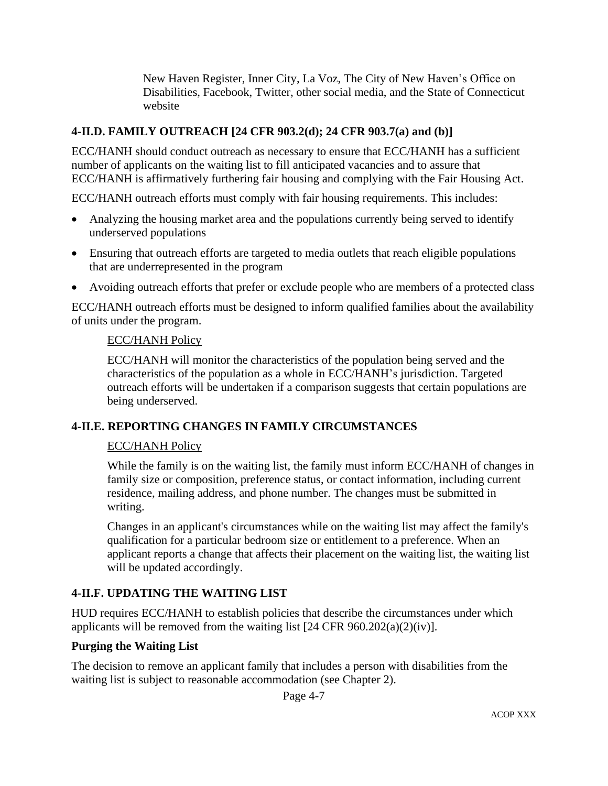New Haven Register, Inner City, La Voz, The City of New Haven's Office on Disabilities, Facebook, Twitter, other social media, and the State of Connecticut website

### **4-II.D. FAMILY OUTREACH [24 CFR 903.2(d); 24 CFR 903.7(a) and (b)]**

ECC/HANH should conduct outreach as necessary to ensure that ECC/HANH has a sufficient number of applicants on the waiting list to fill anticipated vacancies and to assure that ECC/HANH is affirmatively furthering fair housing and complying with the Fair Housing Act.

ECC/HANH outreach efforts must comply with fair housing requirements. This includes:

- Analyzing the housing market area and the populations currently being served to identify underserved populations
- Ensuring that outreach efforts are targeted to media outlets that reach eligible populations that are underrepresented in the program
- Avoiding outreach efforts that prefer or exclude people who are members of a protected class

ECC/HANH outreach efforts must be designed to inform qualified families about the availability of units under the program.

#### ECC/HANH Policy

ECC/HANH will monitor the characteristics of the population being served and the characteristics of the population as a whole in ECC/HANH's jurisdiction. Targeted outreach efforts will be undertaken if a comparison suggests that certain populations are being underserved.

### **4-II.E. REPORTING CHANGES IN FAMILY CIRCUMSTANCES**

### ECC/HANH Policy

While the family is on the waiting list, the family must inform ECC/HANH of changes in family size or composition, preference status, or contact information, including current residence, mailing address, and phone number. The changes must be submitted in writing.

Changes in an applicant's circumstances while on the waiting list may affect the family's qualification for a particular bedroom size or entitlement to a preference. When an applicant reports a change that affects their placement on the waiting list, the waiting list will be updated accordingly.

### **4-II.F. UPDATING THE WAITING LIST**

HUD requires ECC/HANH to establish policies that describe the circumstances under which applicants will be removed from the waiting list  $[24 \text{ CFR } 960.202(a)(2)(iv)].$ 

### **Purging the Waiting List**

The decision to remove an applicant family that includes a person with disabilities from the waiting list is subject to reasonable accommodation (see Chapter 2).

Page 4-7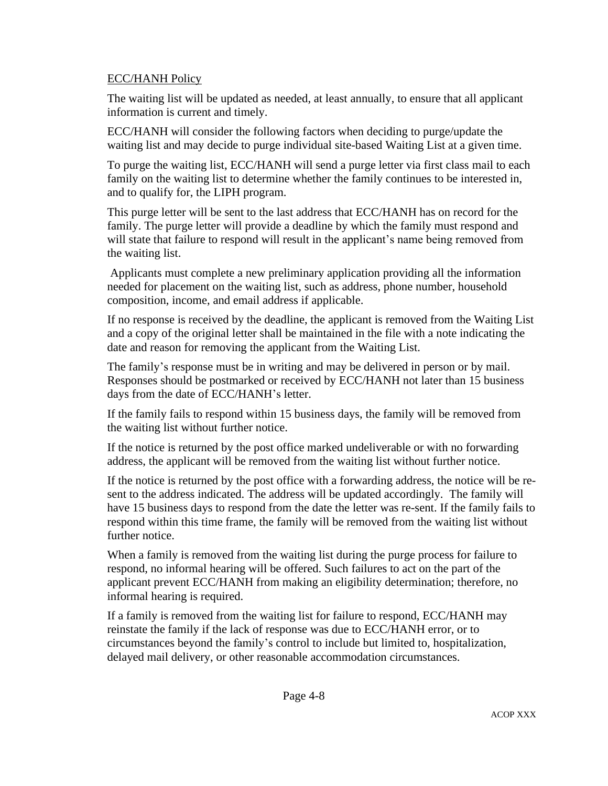### ECC/HANH Policy

The waiting list will be updated as needed, at least annually, to ensure that all applicant information is current and timely.

ECC/HANH will consider the following factors when deciding to purge/update the waiting list and may decide to purge individual site-based Waiting List at a given time.

To purge the waiting list, ECC/HANH will send a purge letter via first class mail to each family on the waiting list to determine whether the family continues to be interested in, and to qualify for, the LIPH program.

This purge letter will be sent to the last address that ECC/HANH has on record for the family. The purge letter will provide a deadline by which the family must respond and will state that failure to respond will result in the applicant's name being removed from the waiting list.

Applicants must complete a new preliminary application providing all the information needed for placement on the waiting list, such as address, phone number, household composition, income, and email address if applicable.

If no response is received by the deadline, the applicant is removed from the Waiting List and a copy of the original letter shall be maintained in the file with a note indicating the date and reason for removing the applicant from the Waiting List.

The family's response must be in writing and may be delivered in person or by mail. Responses should be postmarked or received by ECC/HANH not later than 15 business days from the date of ECC/HANH's letter.

If the family fails to respond within 15 business days, the family will be removed from the waiting list without further notice.

If the notice is returned by the post office marked undeliverable or with no forwarding address, the applicant will be removed from the waiting list without further notice.

If the notice is returned by the post office with a forwarding address, the notice will be resent to the address indicated. The address will be updated accordingly. The family will have 15 business days to respond from the date the letter was re-sent. If the family fails to respond within this time frame, the family will be removed from the waiting list without further notice.

When a family is removed from the waiting list during the purge process for failure to respond, no informal hearing will be offered. Such failures to act on the part of the applicant prevent ECC/HANH from making an eligibility determination; therefore, no informal hearing is required.

If a family is removed from the waiting list for failure to respond, ECC/HANH may reinstate the family if the lack of response was due to ECC/HANH error, or to circumstances beyond the family's control to include but limited to, hospitalization, delayed mail delivery, or other reasonable accommodation circumstances.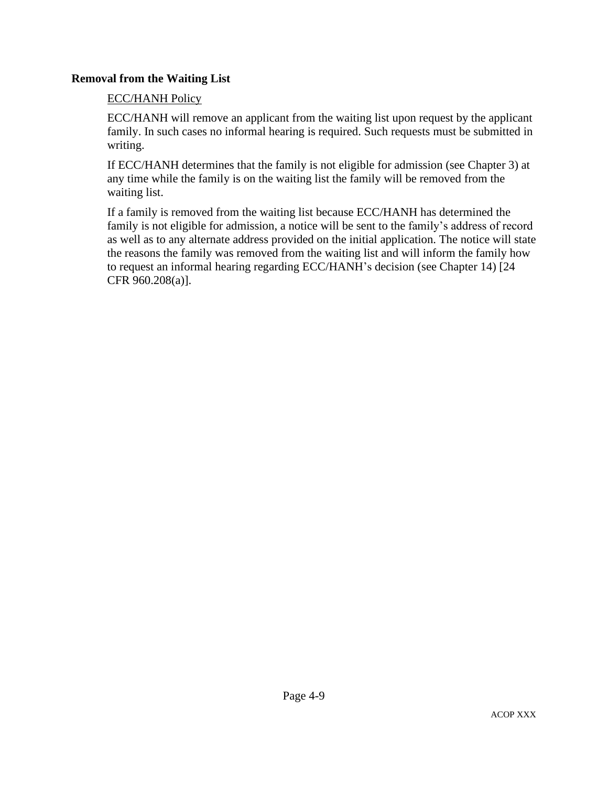### **Removal from the Waiting List**

### ECC/HANH Policy

ECC/HANH will remove an applicant from the waiting list upon request by the applicant family. In such cases no informal hearing is required. Such requests must be submitted in writing.

If ECC/HANH determines that the family is not eligible for admission (see Chapter 3) at any time while the family is on the waiting list the family will be removed from the waiting list.

If a family is removed from the waiting list because ECC/HANH has determined the family is not eligible for admission, a notice will be sent to the family's address of record as well as to any alternate address provided on the initial application. The notice will state the reasons the family was removed from the waiting list and will inform the family how to request an informal hearing regarding ECC/HANH's decision (see Chapter 14) [24 CFR 960.208(a)].

Page 4-9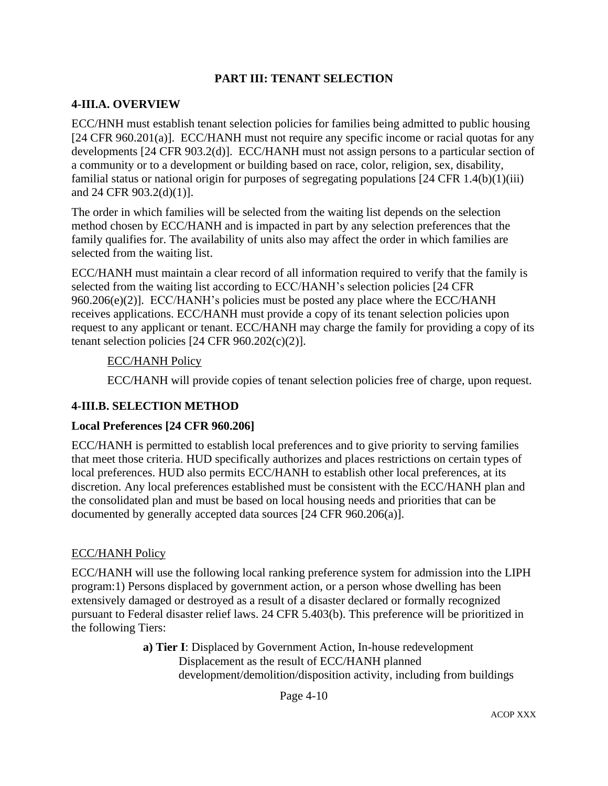### **PART III: TENANT SELECTION**

## **4-III.A. OVERVIEW**

ECC/HNH must establish tenant selection policies for families being admitted to public housing [24 CFR 960.201(a)]. ECC/HANH must not require any specific income or racial quotas for any developments [24 CFR 903.2(d)]. ECC/HANH must not assign persons to a particular section of a community or to a development or building based on race, color, religion, sex, disability, familial status or national origin for purposes of segregating populations [24 CFR 1.4(b)(1)(iii) and 24 CFR 903.2(d)(1)].

The order in which families will be selected from the waiting list depends on the selection method chosen by ECC/HANH and is impacted in part by any selection preferences that the family qualifies for. The availability of units also may affect the order in which families are selected from the waiting list.

ECC/HANH must maintain a clear record of all information required to verify that the family is selected from the waiting list according to ECC/HANH's selection policies [24 CFR 960.206(e)(2)]. ECC/HANH's policies must be posted any place where the ECC/HANH receives applications. ECC/HANH must provide a copy of its tenant selection policies upon request to any applicant or tenant. ECC/HANH may charge the family for providing a copy of its tenant selection policies  $[24 \text{ CFR } 960.202(c)(2)].$ 

### ECC/HANH Policy

ECC/HANH will provide copies of tenant selection policies free of charge, upon request.

### **4-III.B. SELECTION METHOD**

### **Local Preferences [24 CFR 960.206]**

ECC/HANH is permitted to establish local preferences and to give priority to serving families that meet those criteria. HUD specifically authorizes and places restrictions on certain types of local preferences. HUD also permits ECC/HANH to establish other local preferences, at its discretion. Any local preferences established must be consistent with the ECC/HANH plan and the consolidated plan and must be based on local housing needs and priorities that can be documented by generally accepted data sources [24 CFR 960.206(a)].

### ECC/HANH Policy

ECC/HANH will use the following local ranking preference system for admission into the LIPH program:1) Persons displaced by government action, or a person whose dwelling has been extensively damaged or destroyed as a result of a disaster declared or formally recognized pursuant to Federal disaster relief laws. 24 CFR 5.403(b). This preference will be prioritized in the following Tiers:

> **a) Tier I**: Displaced by Government Action, In-house redevelopment Displacement as the result of ECC/HANH planned development/demolition/disposition activity, including from buildings

> > Page 4-10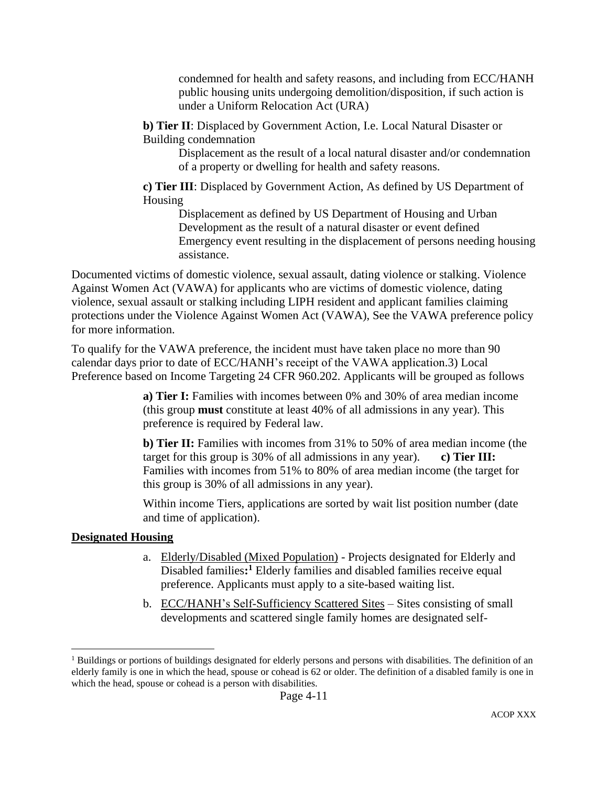condemned for health and safety reasons, and including from ECC/HANH public housing units undergoing demolition/disposition, if such action is under a Uniform Relocation Act (URA)

**b) Tier II**: Displaced by Government Action, I.e. Local Natural Disaster or Building condemnation

Displacement as the result of a local natural disaster and/or condemnation of a property or dwelling for health and safety reasons.

**c) Tier III**: Displaced by Government Action, As defined by US Department of Housing

Displacement as defined by US Department of Housing and Urban Development as the result of a natural disaster or event defined Emergency event resulting in the displacement of persons needing housing assistance.

Documented victims of domestic violence, sexual assault, dating violence or stalking. Violence Against Women Act (VAWA) for applicants who are victims of domestic violence, dating violence, sexual assault or stalking including LIPH resident and applicant families claiming protections under the Violence Against Women Act (VAWA), See the VAWA preference policy for more information.

To qualify for the VAWA preference, the incident must have taken place no more than 90 calendar days prior to date of ECC/HANH's receipt of the VAWA application.3) Local Preference based on Income Targeting 24 CFR 960.202. Applicants will be grouped as follows

> **a) Tier I:** Families with incomes between 0% and 30% of area median income (this group **must** constitute at least 40% of all admissions in any year). This preference is required by Federal law.

**b) Tier II:** Families with incomes from 31% to 50% of area median income (the target for this group is 30% of all admissions in any year). **c) Tier III:**  Families with incomes from 51% to 80% of area median income (the target for this group is 30% of all admissions in any year).

Within income Tiers, applications are sorted by wait list position number (date and time of application).

## **Designated Housing**

- a. Elderly/Disabled (Mixed Population) Projects designated for Elderly and Disabled families**: <sup>1</sup>** Elderly families and disabled families receive equal preference. Applicants must apply to a site-based waiting list.
- b. ECC/HANH's Self-Sufficiency Scattered Sites Sites consisting of small developments and scattered single family homes are designated self-

<sup>&</sup>lt;sup>1</sup> Buildings or portions of buildings designated for elderly persons and persons with disabilities. The definition of an elderly family is one in which the head, spouse or cohead is 62 or older. The definition of a disabled family is one in which the head, spouse or cohead is a person with disabilities.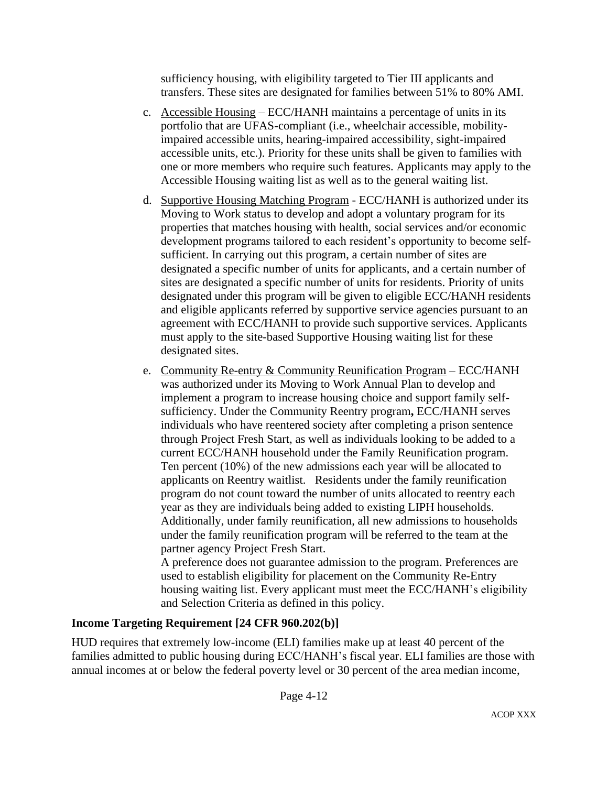sufficiency housing, with eligibility targeted to Tier III applicants and transfers. These sites are designated for families between 51% to 80% AMI.

- c. Accessible Housing ECC/HANH maintains a percentage of units in its portfolio that are UFAS-compliant (i.e., wheelchair accessible, mobilityimpaired accessible units, hearing-impaired accessibility, sight-impaired accessible units, etc.). Priority for these units shall be given to families with one or more members who require such features. Applicants may apply to the Accessible Housing waiting list as well as to the general waiting list.
- d. Supportive Housing Matching Program ECC/HANH is authorized under its Moving to Work status to develop and adopt a voluntary program for its properties that matches housing with health, social services and/or economic development programs tailored to each resident's opportunity to become selfsufficient. In carrying out this program, a certain number of sites are designated a specific number of units for applicants, and a certain number of sites are designated a specific number of units for residents. Priority of units designated under this program will be given to eligible ECC/HANH residents and eligible applicants referred by supportive service agencies pursuant to an agreement with ECC/HANH to provide such supportive services. Applicants must apply to the site-based Supportive Housing waiting list for these designated sites.
- e. Community Re-entry & Community Reunification Program ECC/HANH was authorized under its Moving to Work Annual Plan to develop and implement a program to increase housing choice and support family selfsufficiency. Under the Community Reentry program**,** ECC/HANH serves individuals who have reentered society after completing a prison sentence through Project Fresh Start, as well as individuals looking to be added to a current ECC/HANH household under the Family Reunification program. Ten percent (10%) of the new admissions each year will be allocated to applicants on Reentry waitlist. Residents under the family reunification program do not count toward the number of units allocated to reentry each year as they are individuals being added to existing LIPH households. Additionally, under family reunification, all new admissions to households under the family reunification program will be referred to the team at the partner agency Project Fresh Start.

A preference does not guarantee admission to the program. Preferences are used to establish eligibility for placement on the Community Re-Entry housing waiting list. Every applicant must meet the ECC/HANH's eligibility and Selection Criteria as defined in this policy.

## **Income Targeting Requirement [24 CFR 960.202(b)]**

HUD requires that extremely low-income (ELI) families make up at least 40 percent of the families admitted to public housing during ECC/HANH's fiscal year. ELI families are those with annual incomes at or below the federal poverty level or 30 percent of the area median income,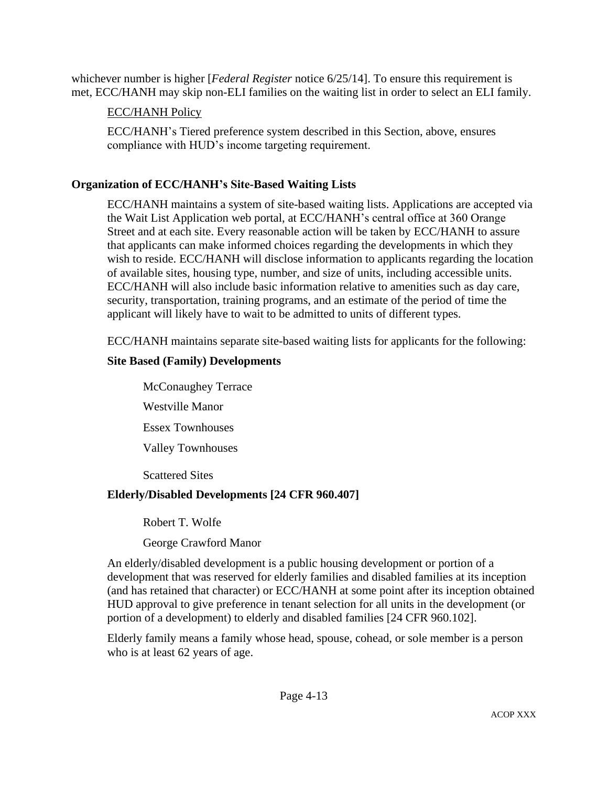whichever number is higher [*Federal Register* notice 6/25/14]. To ensure this requirement is met, ECC/HANH may skip non-ELI families on the waiting list in order to select an ELI family.

## ECC/HANH Policy

ECC/HANH's Tiered preference system described in this Section, above, ensures compliance with HUD's income targeting requirement.

## **Organization of ECC/HANH's Site-Based Waiting Lists**

ECC/HANH maintains a system of site-based waiting lists. Applications are accepted via the Wait List Application web portal, at ECC/HANH's central office at 360 Orange Street and at each site. Every reasonable action will be taken by ECC/HANH to assure that applicants can make informed choices regarding the developments in which they wish to reside. ECC/HANH will disclose information to applicants regarding the location of available sites, housing type, number, and size of units, including accessible units. ECC/HANH will also include basic information relative to amenities such as day care, security, transportation, training programs, and an estimate of the period of time the applicant will likely have to wait to be admitted to units of different types.

ECC/HANH maintains separate site-based waiting lists for applicants for the following:

# **Site Based (Family) Developments**

McConaughey Terrace Westville Manor Essex Townhouses Valley Townhouses

Scattered Sites

## **Elderly/Disabled Developments [24 CFR 960.407]**

Robert T. Wolfe

George Crawford Manor

An elderly/disabled development is a public housing development or portion of a development that was reserved for elderly families and disabled families at its inception (and has retained that character) or ECC/HANH at some point after its inception obtained HUD approval to give preference in tenant selection for all units in the development (or portion of a development) to elderly and disabled families [24 CFR 960.102].

Elderly family means a family whose head, spouse, cohead, or sole member is a person who is at least 62 years of age.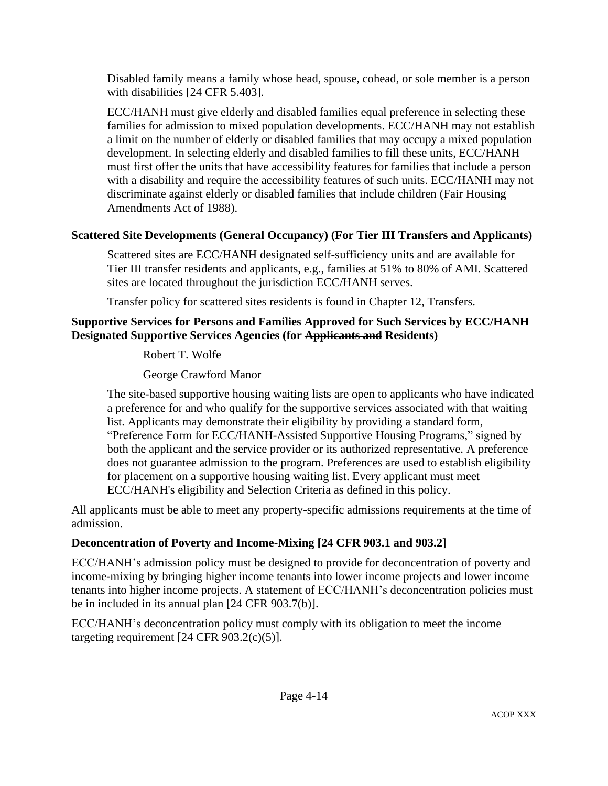Disabled family means a family whose head, spouse, cohead, or sole member is a person with disabilities [24 CFR 5.403].

ECC/HANH must give elderly and disabled families equal preference in selecting these families for admission to mixed population developments. ECC/HANH may not establish a limit on the number of elderly or disabled families that may occupy a mixed population development. In selecting elderly and disabled families to fill these units, ECC/HANH must first offer the units that have accessibility features for families that include a person with a disability and require the accessibility features of such units. ECC/HANH may not discriminate against elderly or disabled families that include children (Fair Housing Amendments Act of 1988).

# **Scattered Site Developments (General Occupancy) (For Tier III Transfers and Applicants)**

Scattered sites are ECC/HANH designated self-sufficiency units and are available for Tier III transfer residents and applicants, e.g., families at 51% to 80% of AMI. Scattered sites are located throughout the jurisdiction ECC/HANH serves.

Transfer policy for scattered sites residents is found in Chapter 12, Transfers.

## **Supportive Services for Persons and Families Approved for Such Services by ECC/HANH Designated Supportive Services Agencies (for Applicants and Residents)**

Robert T. Wolfe

George Crawford Manor

The site-based supportive housing waiting lists are open to applicants who have indicated a preference for and who qualify for the supportive services associated with that waiting list. Applicants may demonstrate their eligibility by providing a standard form, "Preference Form for ECC/HANH-Assisted Supportive Housing Programs," signed by both the applicant and the service provider or its authorized representative. A preference does not guarantee admission to the program. Preferences are used to establish eligibility for placement on a supportive housing waiting list. Every applicant must meet ECC/HANH's eligibility and Selection Criteria as defined in this policy.

All applicants must be able to meet any property-specific admissions requirements at the time of admission.

# **Deconcentration of Poverty and Income-Mixing [24 CFR 903.1 and 903.2]**

ECC/HANH's admission policy must be designed to provide for deconcentration of poverty and income-mixing by bringing higher income tenants into lower income projects and lower income tenants into higher income projects. A statement of ECC/HANH's deconcentration policies must be in included in its annual plan [24 CFR 903.7(b)].

ECC/HANH's deconcentration policy must comply with its obligation to meet the income targeting requirement  $[24 \text{ CFR } 903.2(c)(5)]$ .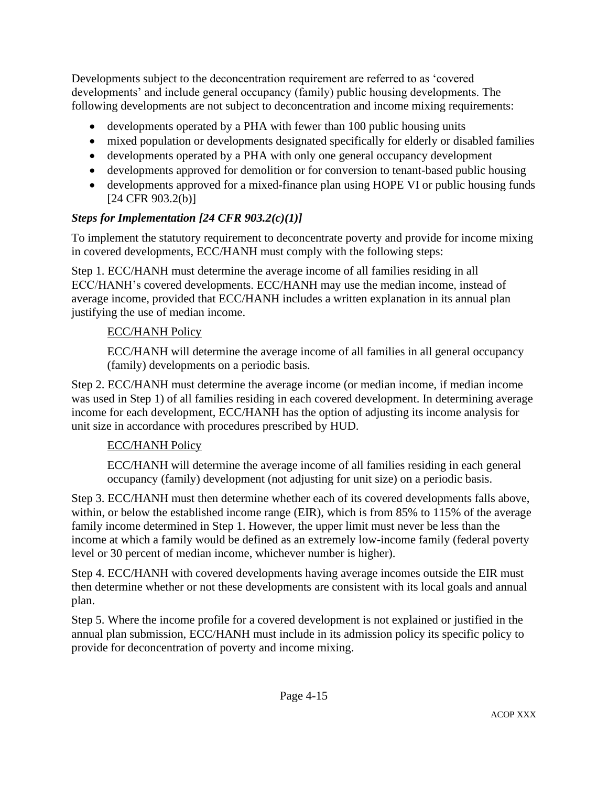Developments subject to the deconcentration requirement are referred to as 'covered developments' and include general occupancy (family) public housing developments. The following developments are not subject to deconcentration and income mixing requirements:

- developments operated by a PHA with fewer than 100 public housing units
- mixed population or developments designated specifically for elderly or disabled families
- developments operated by a PHA with only one general occupancy development
- developments approved for demolition or for conversion to tenant-based public housing
- developments approved for a mixed-finance plan using HOPE VI or public housing funds [24 CFR 903.2(b)]

# *Steps for Implementation [24 CFR 903.2(c)(1)]*

To implement the statutory requirement to deconcentrate poverty and provide for income mixing in covered developments, ECC/HANH must comply with the following steps:

Step 1. ECC/HANH must determine the average income of all families residing in all ECC/HANH's covered developments. ECC/HANH may use the median income, instead of average income, provided that ECC/HANH includes a written explanation in its annual plan justifying the use of median income.

# ECC/HANH Policy

ECC/HANH will determine the average income of all families in all general occupancy (family) developments on a periodic basis.

Step 2. ECC/HANH must determine the average income (or median income, if median income was used in Step 1) of all families residing in each covered development. In determining average income for each development, ECC/HANH has the option of adjusting its income analysis for unit size in accordance with procedures prescribed by HUD.

# ECC/HANH Policy

ECC/HANH will determine the average income of all families residing in each general occupancy (family) development (not adjusting for unit size) on a periodic basis.

Step 3. ECC/HANH must then determine whether each of its covered developments falls above, within, or below the established income range (EIR), which is from 85% to 115% of the average family income determined in Step 1. However, the upper limit must never be less than the income at which a family would be defined as an extremely low-income family (federal poverty level or 30 percent of median income, whichever number is higher).

Step 4. ECC/HANH with covered developments having average incomes outside the EIR must then determine whether or not these developments are consistent with its local goals and annual plan.

Step 5. Where the income profile for a covered development is not explained or justified in the annual plan submission, ECC/HANH must include in its admission policy its specific policy to provide for deconcentration of poverty and income mixing.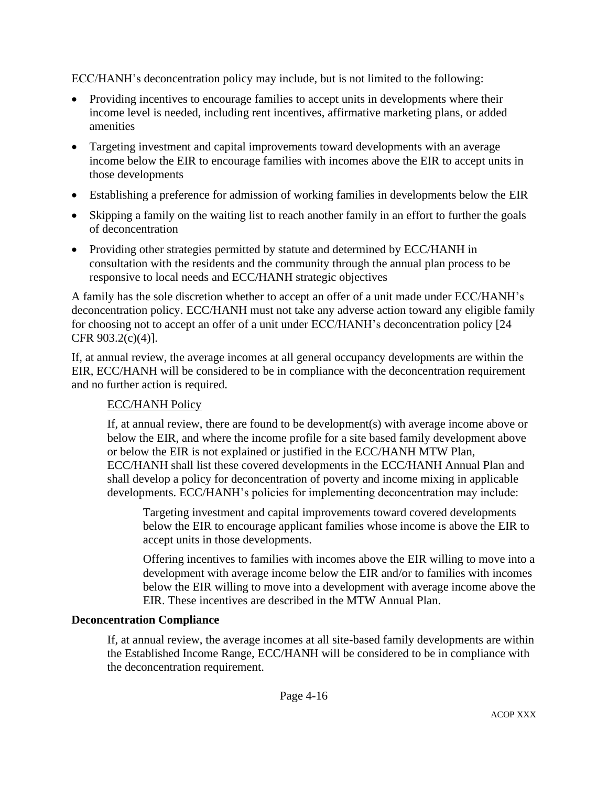ECC/HANH's deconcentration policy may include, but is not limited to the following:

- Providing incentives to encourage families to accept units in developments where their income level is needed, including rent incentives, affirmative marketing plans, or added amenities
- Targeting investment and capital improvements toward developments with an average income below the EIR to encourage families with incomes above the EIR to accept units in those developments
- Establishing a preference for admission of working families in developments below the EIR
- Skipping a family on the waiting list to reach another family in an effort to further the goals of deconcentration
- Providing other strategies permitted by statute and determined by ECC/HANH in consultation with the residents and the community through the annual plan process to be responsive to local needs and ECC/HANH strategic objectives

A family has the sole discretion whether to accept an offer of a unit made under ECC/HANH's deconcentration policy. ECC/HANH must not take any adverse action toward any eligible family for choosing not to accept an offer of a unit under ECC/HANH's deconcentration policy [24 CFR 903.2(c)(4)].

If, at annual review, the average incomes at all general occupancy developments are within the EIR, ECC/HANH will be considered to be in compliance with the deconcentration requirement and no further action is required.

## ECC/HANH Policy

If, at annual review, there are found to be development(s) with average income above or below the EIR, and where the income profile for a site based family development above or below the EIR is not explained or justified in the ECC/HANH MTW Plan, ECC/HANH shall list these covered developments in the ECC/HANH Annual Plan and shall develop a policy for deconcentration of poverty and income mixing in applicable developments. ECC/HANH's policies for implementing deconcentration may include:

Targeting investment and capital improvements toward covered developments below the EIR to encourage applicant families whose income is above the EIR to accept units in those developments.

Offering incentives to families with incomes above the EIR willing to move into a development with average income below the EIR and/or to families with incomes below the EIR willing to move into a development with average income above the EIR. These incentives are described in the MTW Annual Plan.

### **Deconcentration Compliance**

If, at annual review, the average incomes at all site-based family developments are within the Established Income Range, ECC/HANH will be considered to be in compliance with the deconcentration requirement.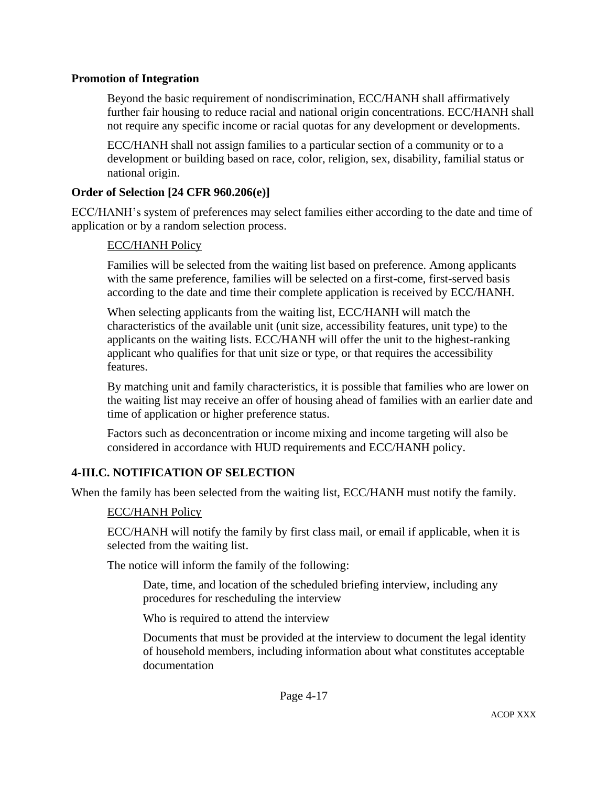#### **Promotion of Integration**

Beyond the basic requirement of nondiscrimination, ECC/HANH shall affirmatively further fair housing to reduce racial and national origin concentrations. ECC/HANH shall not require any specific income or racial quotas for any development or developments.

ECC/HANH shall not assign families to a particular section of a community or to a development or building based on race, color, religion, sex, disability, familial status or national origin.

### **Order of Selection [24 CFR 960.206(e)]**

ECC/HANH's system of preferences may select families either according to the date and time of application or by a random selection process.

#### ECC/HANH Policy

Families will be selected from the waiting list based on preference. Among applicants with the same preference, families will be selected on a first-come, first-served basis according to the date and time their complete application is received by ECC/HANH.

When selecting applicants from the waiting list, ECC/HANH will match the characteristics of the available unit (unit size, accessibility features, unit type) to the applicants on the waiting lists. ECC/HANH will offer the unit to the highest-ranking applicant who qualifies for that unit size or type, or that requires the accessibility features.

By matching unit and family characteristics, it is possible that families who are lower on the waiting list may receive an offer of housing ahead of families with an earlier date and time of application or higher preference status.

Factors such as deconcentration or income mixing and income targeting will also be considered in accordance with HUD requirements and ECC/HANH policy.

### **4-III.C. NOTIFICATION OF SELECTION**

When the family has been selected from the waiting list, ECC/HANH must notify the family.

#### ECC/HANH Policy

ECC/HANH will notify the family by first class mail, or email if applicable, when it is selected from the waiting list.

The notice will inform the family of the following:

Date, time, and location of the scheduled briefing interview, including any procedures for rescheduling the interview

Who is required to attend the interview

Documents that must be provided at the interview to document the legal identity of household members, including information about what constitutes acceptable documentation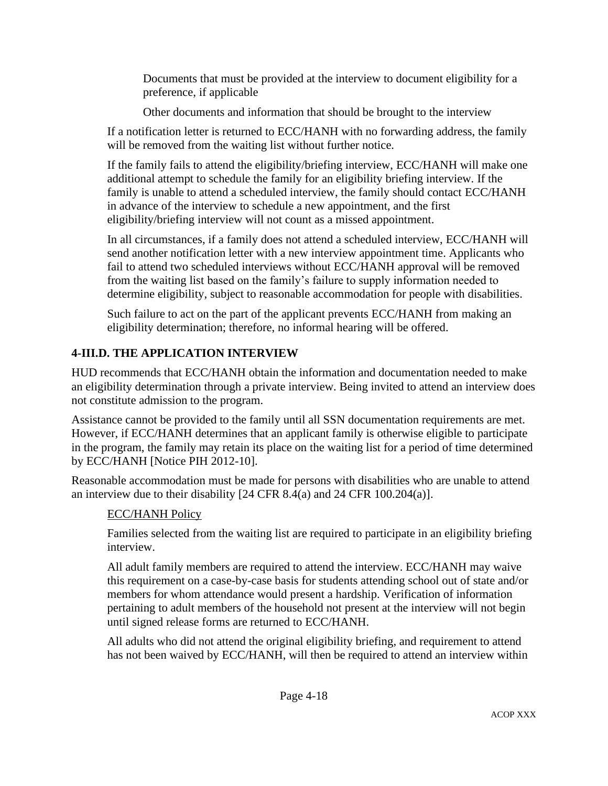Documents that must be provided at the interview to document eligibility for a preference, if applicable

Other documents and information that should be brought to the interview

If a notification letter is returned to ECC/HANH with no forwarding address, the family will be removed from the waiting list without further notice.

If the family fails to attend the eligibility/briefing interview, ECC/HANH will make one additional attempt to schedule the family for an eligibility briefing interview. If the family is unable to attend a scheduled interview, the family should contact ECC/HANH in advance of the interview to schedule a new appointment, and the first eligibility/briefing interview will not count as a missed appointment.

In all circumstances, if a family does not attend a scheduled interview, ECC/HANH will send another notification letter with a new interview appointment time. Applicants who fail to attend two scheduled interviews without ECC/HANH approval will be removed from the waiting list based on the family's failure to supply information needed to determine eligibility, subject to reasonable accommodation for people with disabilities.

Such failure to act on the part of the applicant prevents ECC/HANH from making an eligibility determination; therefore, no informal hearing will be offered.

# **4-III.D. THE APPLICATION INTERVIEW**

HUD recommends that ECC/HANH obtain the information and documentation needed to make an eligibility determination through a private interview. Being invited to attend an interview does not constitute admission to the program.

Assistance cannot be provided to the family until all SSN documentation requirements are met. However, if ECC/HANH determines that an applicant family is otherwise eligible to participate in the program, the family may retain its place on the waiting list for a period of time determined by ECC/HANH [Notice PIH 2012-10].

Reasonable accommodation must be made for persons with disabilities who are unable to attend an interview due to their disability [24 CFR 8.4(a) and 24 CFR 100.204(a)].

# ECC/HANH Policy

Families selected from the waiting list are required to participate in an eligibility briefing interview.

All adult family members are required to attend the interview. ECC/HANH may waive this requirement on a case-by-case basis for students attending school out of state and/or members for whom attendance would present a hardship. Verification of information pertaining to adult members of the household not present at the interview will not begin until signed release forms are returned to ECC/HANH.

All adults who did not attend the original eligibility briefing, and requirement to attend has not been waived by ECC/HANH, will then be required to attend an interview within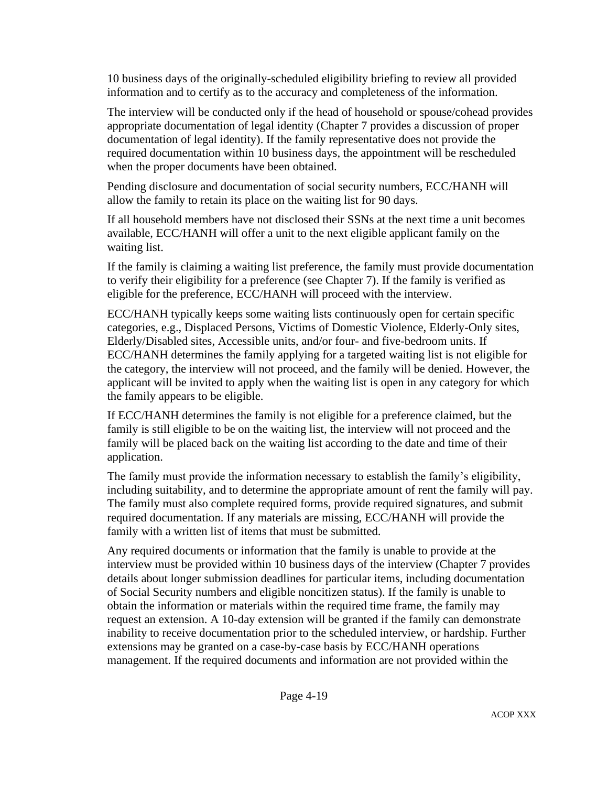10 business days of the originally-scheduled eligibility briefing to review all provided information and to certify as to the accuracy and completeness of the information.

The interview will be conducted only if the head of household or spouse/cohead provides appropriate documentation of legal identity (Chapter 7 provides a discussion of proper documentation of legal identity). If the family representative does not provide the required documentation within 10 business days, the appointment will be rescheduled when the proper documents have been obtained.

Pending disclosure and documentation of social security numbers, ECC/HANH will allow the family to retain its place on the waiting list for 90 days.

If all household members have not disclosed their SSNs at the next time a unit becomes available, ECC/HANH will offer a unit to the next eligible applicant family on the waiting list.

If the family is claiming a waiting list preference, the family must provide documentation to verify their eligibility for a preference (see Chapter 7). If the family is verified as eligible for the preference, ECC/HANH will proceed with the interview.

ECC/HANH typically keeps some waiting lists continuously open for certain specific categories, e.g., Displaced Persons, Victims of Domestic Violence, Elderly-Only sites, Elderly/Disabled sites, Accessible units, and/or four- and five-bedroom units. If ECC/HANH determines the family applying for a targeted waiting list is not eligible for the category, the interview will not proceed, and the family will be denied. However, the applicant will be invited to apply when the waiting list is open in any category for which the family appears to be eligible.

If ECC/HANH determines the family is not eligible for a preference claimed, but the family is still eligible to be on the waiting list, the interview will not proceed and the family will be placed back on the waiting list according to the date and time of their application.

The family must provide the information necessary to establish the family's eligibility, including suitability, and to determine the appropriate amount of rent the family will pay. The family must also complete required forms, provide required signatures, and submit required documentation. If any materials are missing, ECC/HANH will provide the family with a written list of items that must be submitted.

Any required documents or information that the family is unable to provide at the interview must be provided within 10 business days of the interview (Chapter 7 provides details about longer submission deadlines for particular items, including documentation of Social Security numbers and eligible noncitizen status). If the family is unable to obtain the information or materials within the required time frame, the family may request an extension. A 10-day extension will be granted if the family can demonstrate inability to receive documentation prior to the scheduled interview, or hardship. Further extensions may be granted on a case-by-case basis by ECC/HANH operations management. If the required documents and information are not provided within the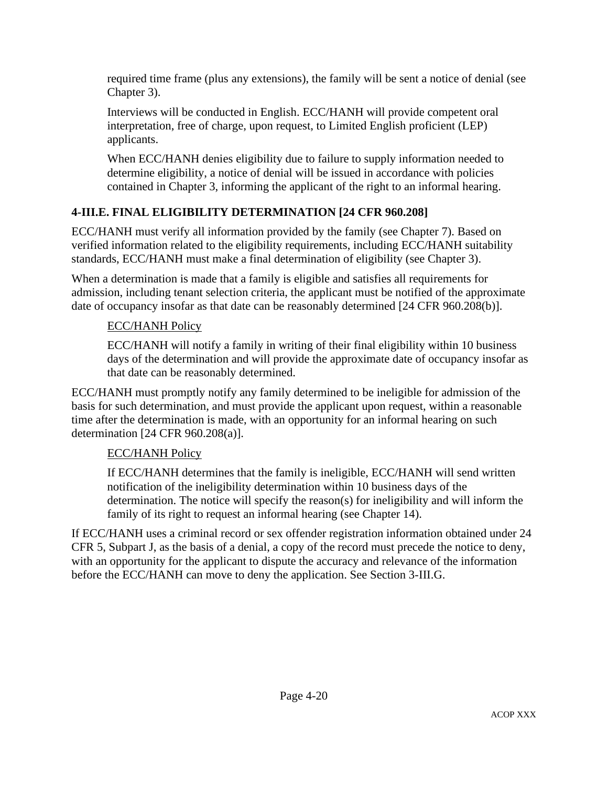required time frame (plus any extensions), the family will be sent a notice of denial (see Chapter 3).

Interviews will be conducted in English. ECC/HANH will provide competent oral interpretation, free of charge, upon request, to Limited English proficient (LEP) applicants.

When ECC/HANH denies eligibility due to failure to supply information needed to determine eligibility, a notice of denial will be issued in accordance with policies contained in Chapter 3, informing the applicant of the right to an informal hearing.

# **4-III.E. FINAL ELIGIBILITY DETERMINATION [24 CFR 960.208]**

ECC/HANH must verify all information provided by the family (see Chapter 7). Based on verified information related to the eligibility requirements, including ECC/HANH suitability standards, ECC/HANH must make a final determination of eligibility (see Chapter 3).

When a determination is made that a family is eligible and satisfies all requirements for admission, including tenant selection criteria, the applicant must be notified of the approximate date of occupancy insofar as that date can be reasonably determined [24 CFR 960.208(b)].

# ECC/HANH Policy

ECC/HANH will notify a family in writing of their final eligibility within 10 business days of the determination and will provide the approximate date of occupancy insofar as that date can be reasonably determined.

ECC/HANH must promptly notify any family determined to be ineligible for admission of the basis for such determination, and must provide the applicant upon request, within a reasonable time after the determination is made, with an opportunity for an informal hearing on such determination [24 CFR 960.208(a)].

# ECC/HANH Policy

If ECC/HANH determines that the family is ineligible, ECC/HANH will send written notification of the ineligibility determination within 10 business days of the determination. The notice will specify the reason(s) for ineligibility and will inform the family of its right to request an informal hearing (see Chapter 14).

If ECC/HANH uses a criminal record or sex offender registration information obtained under 24 CFR 5, Subpart J, as the basis of a denial, a copy of the record must precede the notice to deny, with an opportunity for the applicant to dispute the accuracy and relevance of the information before the ECC/HANH can move to deny the application. See Section 3-III.G.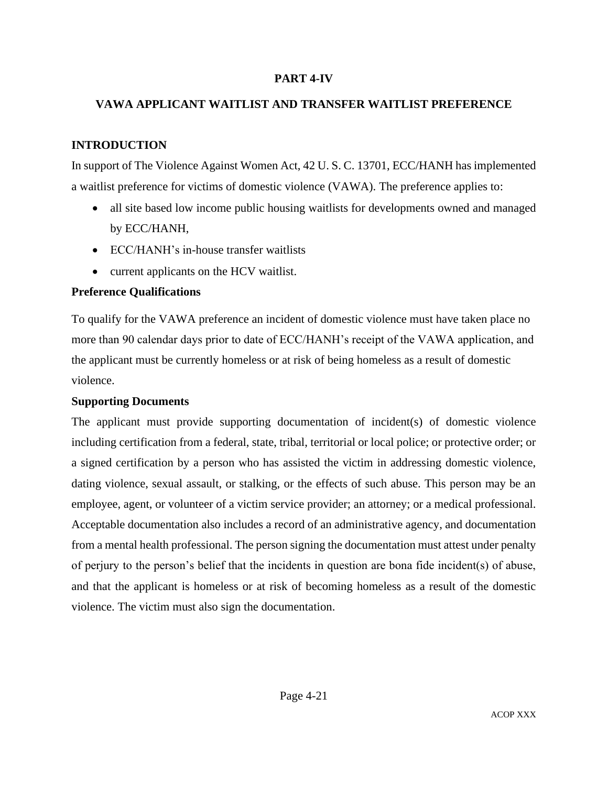### **PART 4-IV**

### **VAWA APPLICANT WAITLIST AND TRANSFER WAITLIST PREFERENCE**

## **INTRODUCTION**

In support of The Violence Against Women Act, 42 U. S. C. 13701, ECC/HANH has implemented a waitlist preference for victims of domestic violence (VAWA). The preference applies to:

- all site based low income public housing waitlists for developments owned and managed by ECC/HANH,
- ECC/HANH's in-house transfer waitlists
- current applicants on the HCV waitlist.

### **Preference Qualifications**

To qualify for the VAWA preference an incident of domestic violence must have taken place no more than 90 calendar days prior to date of ECC/HANH's receipt of the VAWA application, and the applicant must be currently homeless or at risk of being homeless as a result of domestic violence.

### **Supporting Documents**

The applicant must provide supporting documentation of incident(s) of domestic violence including certification from a federal, state, tribal, territorial or local police; or protective order; or a signed certification by a person who has assisted the victim in addressing domestic violence, dating violence, sexual assault, or stalking, or the effects of such abuse. This person may be an employee, agent, or volunteer of a victim service provider; an attorney; or a medical professional. Acceptable documentation also includes a record of an administrative agency, and documentation from a mental health professional. The person signing the documentation must attest under penalty of perjury to the person's belief that the incidents in question are bona fide incident(s) of abuse, and that the applicant is homeless or at risk of becoming homeless as a result of the domestic violence. The victim must also sign the documentation.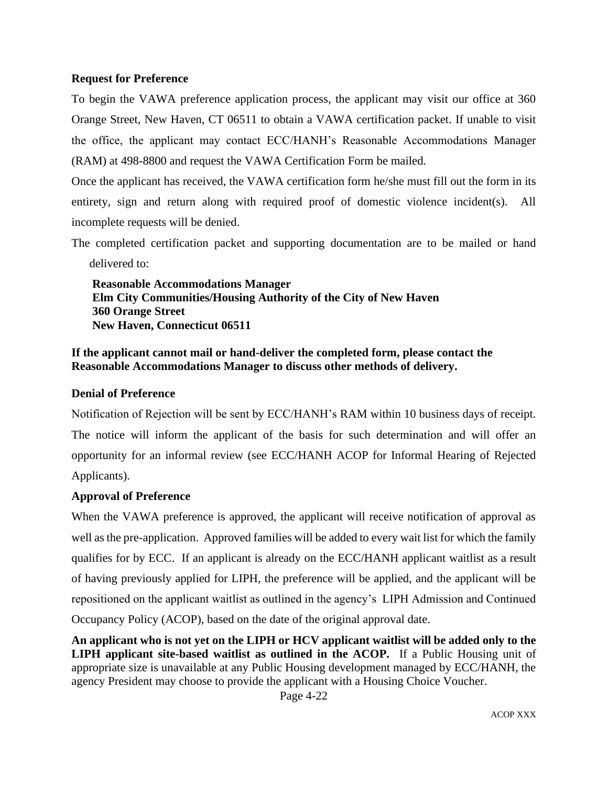#### **Request for Preference**

To begin the VAWA preference application process, the applicant may visit our office at 360 Orange Street, New Haven, CT 06511 to obtain a VAWA certification packet. If unable to visit the office, the applicant may contact ECC/HANH's Reasonable Accommodations Manager (RAM) at 498-8800 and request the VAWA Certification Form be mailed.

Once the applicant has received, the VAWA certification form he/she must fill out the form in its entirety, sign and return along with required proof of domestic violence incident(s). All incomplete requests will be denied.

The completed certification packet and supporting documentation are to be mailed or hand delivered to:

 **Reasonable Accommodations Manager Elm City Communities/Housing Authority of the City of New Haven 360 Orange Street New Haven, Connecticut 06511**

### **If the applicant cannot mail or hand-deliver the completed form, please contact the Reasonable Accommodations Manager to discuss other methods of delivery.**

### **Denial of Preference**

Notification of Rejection will be sent by ECC/HANH's RAM within 10 business days of receipt. The notice will inform the applicant of the basis for such determination and will offer an opportunity for an informal review (see ECC/HANH ACOP for Informal Hearing of Rejected Applicants).

#### **Approval of Preference**

When the VAWA preference is approved, the applicant will receive notification of approval as well as the pre-application. Approved families will be added to every wait list for which the family qualifies for by ECC. If an applicant is already on the ECC/HANH applicant waitlist as a result of having previously applied for LIPH, the preference will be applied, and the applicant will be repositioned on the applicant waitlist as outlined in the agency's LIPH Admission and Continued Occupancy Policy (ACOP), based on the date of the original approval date.

**An applicant who is not yet on the LIPH or HCV applicant waitlist will be added only to the LIPH applicant site-based waitlist as outlined in the ACOP.** If a Public Housing unit of appropriate size is unavailable at any Public Housing development managed by ECC/HANH, the agency President may choose to provide the applicant with a Housing Choice Voucher.

Page 4-22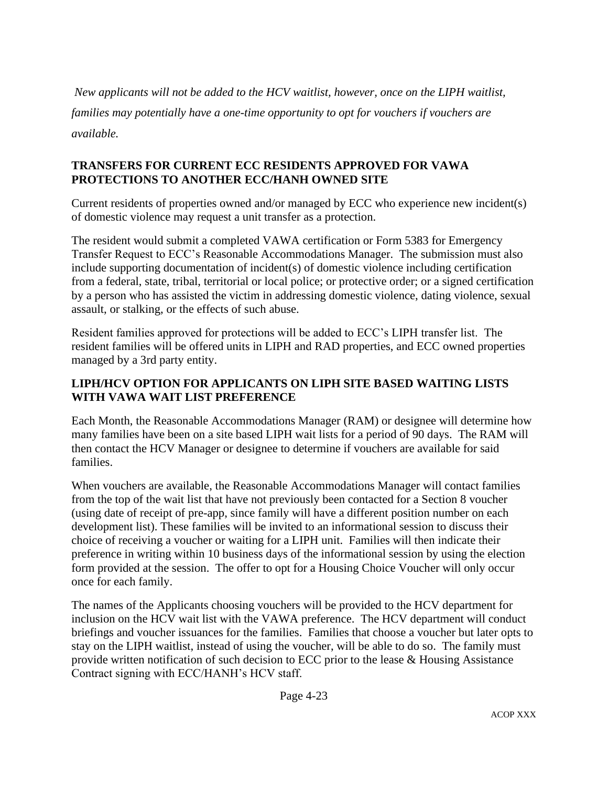*New applicants will not be added to the HCV waitlist, however, once on the LIPH waitlist, families may potentially have a one-time opportunity to opt for vouchers if vouchers are available.*

### **TRANSFERS FOR CURRENT ECC RESIDENTS APPROVED FOR VAWA PROTECTIONS TO ANOTHER ECC/HANH OWNED SITE**

Current residents of properties owned and/or managed by ECC who experience new incident(s) of domestic violence may request a unit transfer as a protection.

The resident would submit a completed VAWA certification or Form 5383 for Emergency Transfer Request to ECC's Reasonable Accommodations Manager. The submission must also include supporting documentation of incident(s) of domestic violence including certification from a federal, state, tribal, territorial or local police; or protective order; or a signed certification by a person who has assisted the victim in addressing domestic violence, dating violence, sexual assault, or stalking, or the effects of such abuse.

Resident families approved for protections will be added to ECC's LIPH transfer list. The resident families will be offered units in LIPH and RAD properties, and ECC owned properties managed by a 3rd party entity.

## **LIPH/HCV OPTION FOR APPLICANTS ON LIPH SITE BASED WAITING LISTS WITH VAWA WAIT LIST PREFERENCE**

Each Month, the Reasonable Accommodations Manager (RAM) or designee will determine how many families have been on a site based LIPH wait lists for a period of 90 days. The RAM will then contact the HCV Manager or designee to determine if vouchers are available for said families.

When vouchers are available, the Reasonable Accommodations Manager will contact families from the top of the wait list that have not previously been contacted for a Section 8 voucher (using date of receipt of pre-app, since family will have a different position number on each development list). These families will be invited to an informational session to discuss their choice of receiving a voucher or waiting for a LIPH unit. Families will then indicate their preference in writing within 10 business days of the informational session by using the election form provided at the session. The offer to opt for a Housing Choice Voucher will only occur once for each family.

The names of the Applicants choosing vouchers will be provided to the HCV department for inclusion on the HCV wait list with the VAWA preference. The HCV department will conduct briefings and voucher issuances for the families. Families that choose a voucher but later opts to stay on the LIPH waitlist, instead of using the voucher, will be able to do so. The family must provide written notification of such decision to ECC prior to the lease & Housing Assistance Contract signing with ECC/HANH's HCV staff.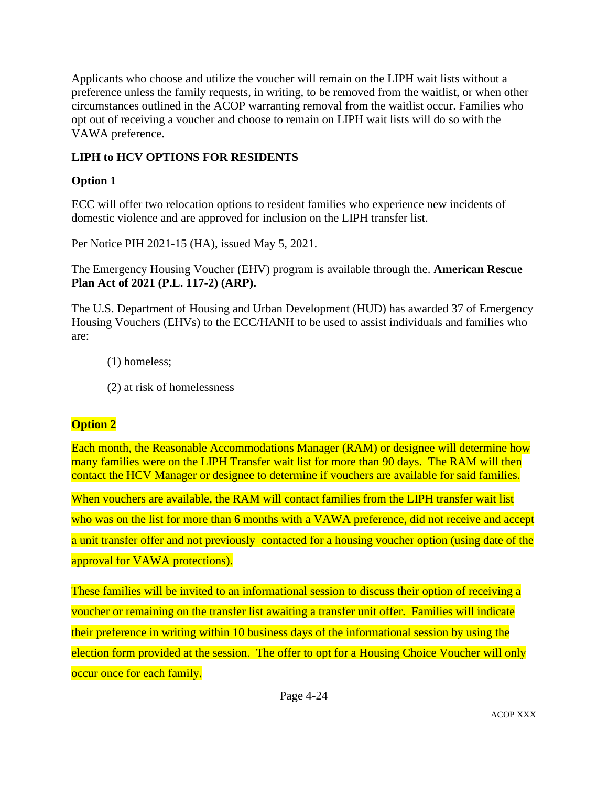Applicants who choose and utilize the voucher will remain on the LIPH wait lists without a preference unless the family requests, in writing, to be removed from the waitlist, or when other circumstances outlined in the ACOP warranting removal from the waitlist occur. Families who opt out of receiving a voucher and choose to remain on LIPH wait lists will do so with the VAWA preference.

# **LIPH to HCV OPTIONS FOR RESIDENTS**

## **Option 1**

ECC will offer two relocation options to resident families who experience new incidents of domestic violence and are approved for inclusion on the LIPH transfer list.

Per Notice PIH 2021-15 (HA), issued May 5, 2021.

The Emergency Housing Voucher (EHV) program is available through the. **American Rescue Plan Act of 2021 (P.L. 117-2) (ARP).**

The U.S. Department of Housing and Urban Development (HUD) has awarded 37 of Emergency Housing Vouchers (EHVs) to the ECC/HANH to be used to assist individuals and families who are:

- (1) homeless;
- (2) at risk of homelessness

# **Option 2**

Each month, the Reasonable Accommodations Manager (RAM) or designee will determine how many families were on the LIPH Transfer wait list for more than 90 days. The RAM will then contact the HCV Manager or designee to determine if vouchers are available for said families.

When vouchers are available, the RAM will contact families from the LIPH transfer wait list who was on the list for more than 6 months with a VAWA preference, did not receive and accept a unit transfer offer and not previously contacted for a housing voucher option (using date of the approval for VAWA protections).

These families will be invited to an informational session to discuss their option of receiving a voucher or remaining on the transfer list awaiting a transfer unit offer. Families will indicate their preference in writing within 10 business days of the informational session by using the election form provided at the session. The offer to opt for a Housing Choice Voucher will only occur once for each family.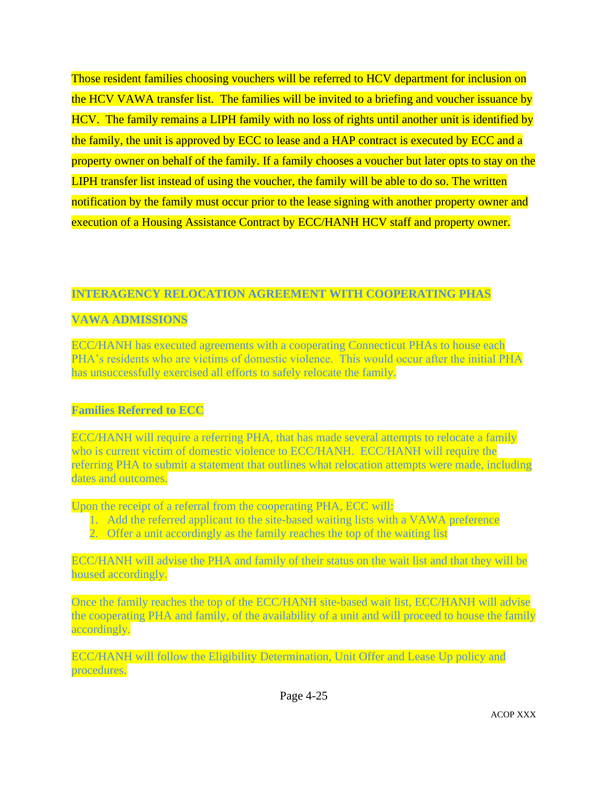Those resident families choosing vouchers will be referred to HCV department for inclusion on the HCV VAWA transfer list. The families will be invited to a briefing and voucher issuance by HCV. The family remains a LIPH family with no loss of rights until another unit is identified by the family, the unit is approved by ECC to lease and a HAP contract is executed by ECC and a property owner on behalf of the family. If a family chooses a voucher but later opts to stay on the LIPH transfer list instead of using the voucher, the family will be able to do so. The written notification by the family must occur prior to the lease signing with another property owner and execution of a Housing Assistance Contract by ECC/HANH HCV staff and property owner.

### **INTERAGENCY RELOCATION AGREEMENT WITH COOPERATING PHAS**

## **VAWA ADMISSIONS**

ECC/HANH has executed agreements with a cooperating Connecticut PHAs to house each PHA's residents who are victims of domestic violence. This would occur after the initial PHA has unsuccessfully exercised all efforts to safely relocate the family.

### **Families Referred to ECC**

ECC/HANH will require a referring PHA, that has made several attempts to relocate a family who is current victim of domestic violence to ECC/HANH. ECC/HANH will require the referring PHA to submit a statement that outlines what relocation attempts were made, including dates and outcomes.

Upon the receipt of a referral from the cooperating PHA, ECC will:

- 1. Add the referred applicant to the site-based waiting lists with a VAWA preference
- 2. Offer a unit accordingly as the family reaches the top of the waiting list

ECC/HANH will advise the PHA and family of their status on the wait list and that they will be housed accordingly.

Once the family reaches the top of the ECC/HANH site-based wait list, ECC/HANH will advise the cooperating PHA and family, of the availability of a unit and will proceed to house the family accordingly.

ECC/HANH will follow the Eligibility Determination, Unit Offer and Lease Up policy and procedures.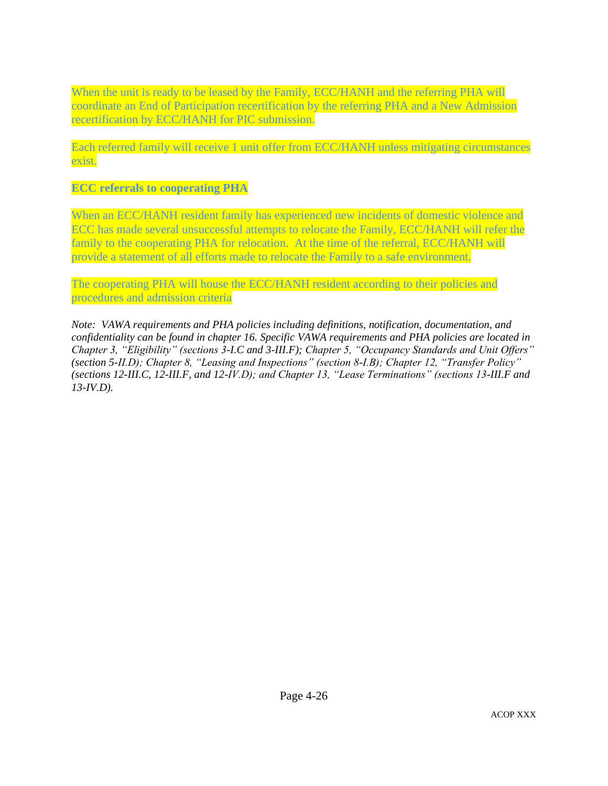When the unit is ready to be leased by the Family, ECC/HANH and the referring PHA will coordinate an End of Participation recertification by the referring PHA and a New Admission recertification by ECC/HANH for PIC submission.

Each referred family will receive 1 unit offer from ECC/HANH unless mitigating circumstances exist.

#### **ECC referrals to cooperating PHA**

When an ECC/HANH resident family has experienced new incidents of domestic violence and ECC has made several unsuccessful attempts to relocate the Family, ECC/HANH will refer the family to the cooperating PHA for relocation. At the time of the referral, ECC/HANH will provide a statement of all efforts made to relocate the Family to a safe environment.

The cooperating PHA will house the ECC/HANH resident according to their policies and procedures and admission criteria

*Note: VAWA requirements and PHA policies including definitions, notification, documentation, and confidentiality can be found in chapter 16. Specific VAWA requirements and PHA policies are located in Chapter 3, "Eligibility" (sections 3-I.C and 3-III.F); Chapter 5, "Occupancy Standards and Unit Offers" (section 5-II.D); Chapter 8, "Leasing and Inspections" (section 8-I.B); Chapter 12, "Transfer Policy" (sections 12-III.C, 12-III.F, and 12-IV.D); and Chapter 13, "Lease Terminations" (sections 13-III.F and 13-IV.D).*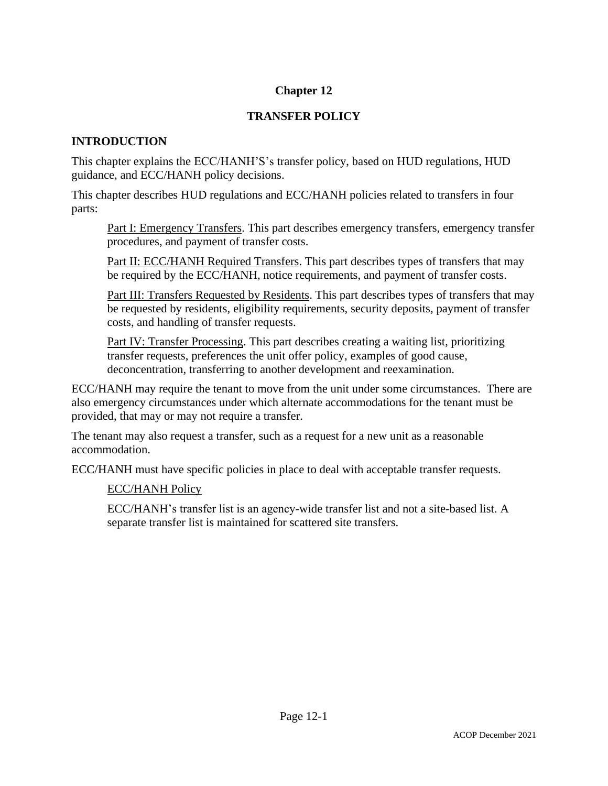# **Chapter 12**

# **TRANSFER POLICY**

## **INTRODUCTION**

This chapter explains the ECC/HANH'S's transfer policy, based on HUD regulations, HUD guidance, and ECC/HANH policy decisions.

This chapter describes HUD regulations and ECC/HANH policies related to transfers in four parts:

Part I: Emergency Transfers. This part describes emergency transfers, emergency transfer procedures, and payment of transfer costs.

Part II: ECC/HANH Required Transfers. This part describes types of transfers that may be required by the ECC/HANH, notice requirements, and payment of transfer costs.

Part III: Transfers Requested by Residents. This part describes types of transfers that may be requested by residents, eligibility requirements, security deposits, payment of transfer costs, and handling of transfer requests.

Part IV: Transfer Processing. This part describes creating a waiting list, prioritizing transfer requests, preferences the unit offer policy, examples of good cause, deconcentration, transferring to another development and reexamination.

ECC/HANH may require the tenant to move from the unit under some circumstances. There are also emergency circumstances under which alternate accommodations for the tenant must be provided, that may or may not require a transfer.

The tenant may also request a transfer, such as a request for a new unit as a reasonable accommodation.

ECC/HANH must have specific policies in place to deal with acceptable transfer requests.

### ECC/HANH Policy

ECC/HANH's transfer list is an agency-wide transfer list and not a site-based list. A separate transfer list is maintained for scattered site transfers.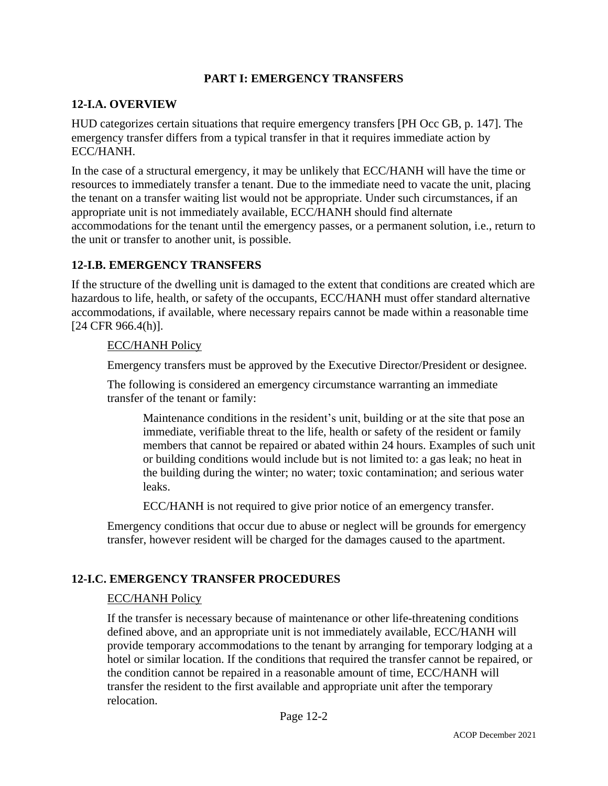### **PART I: EMERGENCY TRANSFERS**

### **12-I.A. OVERVIEW**

HUD categorizes certain situations that require emergency transfers [PH Occ GB, p. 147]. The emergency transfer differs from a typical transfer in that it requires immediate action by ECC/HANH.

In the case of a structural emergency, it may be unlikely that ECC/HANH will have the time or resources to immediately transfer a tenant. Due to the immediate need to vacate the unit, placing the tenant on a transfer waiting list would not be appropriate. Under such circumstances, if an appropriate unit is not immediately available, ECC/HANH should find alternate accommodations for the tenant until the emergency passes, or a permanent solution, i.e., return to the unit or transfer to another unit, is possible.

## **12-I.B. EMERGENCY TRANSFERS**

If the structure of the dwelling unit is damaged to the extent that conditions are created which are hazardous to life, health, or safety of the occupants, ECC/HANH must offer standard alternative accommodations, if available, where necessary repairs cannot be made within a reasonable time [24 CFR 966.4(h)].

### ECC/HANH Policy

Emergency transfers must be approved by the Executive Director/President or designee.

The following is considered an emergency circumstance warranting an immediate transfer of the tenant or family:

Maintenance conditions in the resident's unit, building or at the site that pose an immediate, verifiable threat to the life, health or safety of the resident or family members that cannot be repaired or abated within 24 hours. Examples of such unit or building conditions would include but is not limited to: a gas leak; no heat in the building during the winter; no water; toxic contamination; and serious water leaks.

ECC/HANH is not required to give prior notice of an emergency transfer.

Emergency conditions that occur due to abuse or neglect will be grounds for emergency transfer, however resident will be charged for the damages caused to the apartment.

## **12-I.C. EMERGENCY TRANSFER PROCEDURES**

### ECC/HANH Policy

If the transfer is necessary because of maintenance or other life-threatening conditions defined above, and an appropriate unit is not immediately available, ECC/HANH will provide temporary accommodations to the tenant by arranging for temporary lodging at a hotel or similar location. If the conditions that required the transfer cannot be repaired, or the condition cannot be repaired in a reasonable amount of time, ECC/HANH will transfer the resident to the first available and appropriate unit after the temporary relocation.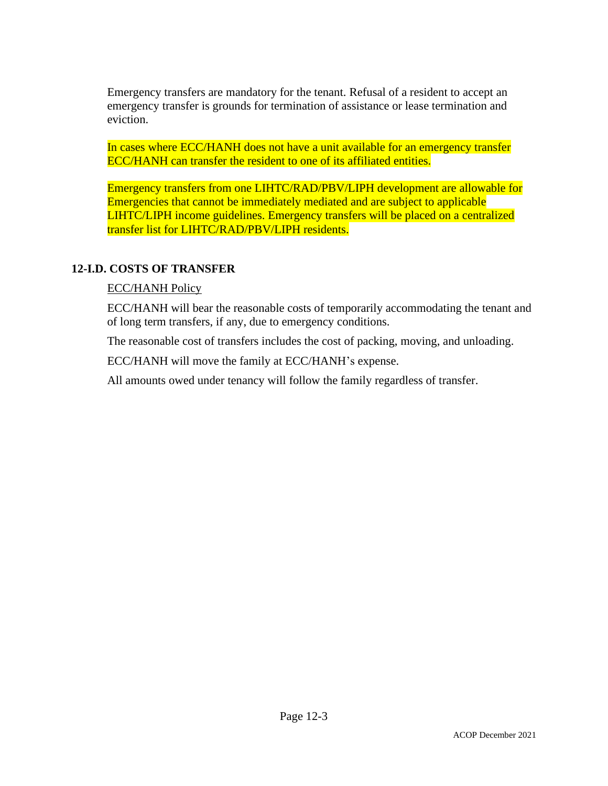Emergency transfers are mandatory for the tenant. Refusal of a resident to accept an emergency transfer is grounds for termination of assistance or lease termination and eviction.

In cases where ECC/HANH does not have a unit available for an emergency transfer ECC/HANH can transfer the resident to one of its affiliated entities.

Emergency transfers from one LIHTC/RAD/PBV/LIPH development are allowable for Emergencies that cannot be immediately mediated and are subject to applicable LIHTC/LIPH income guidelines. Emergency transfers will be placed on a centralized transfer list for LIHTC/RAD/PBV/LIPH residents.

### **12-I.D. COSTS OF TRANSFER**

#### ECC/HANH Policy

ECC/HANH will bear the reasonable costs of temporarily accommodating the tenant and of long term transfers, if any, due to emergency conditions.

The reasonable cost of transfers includes the cost of packing, moving, and unloading.

ECC/HANH will move the family at ECC/HANH's expense.

All amounts owed under tenancy will follow the family regardless of transfer.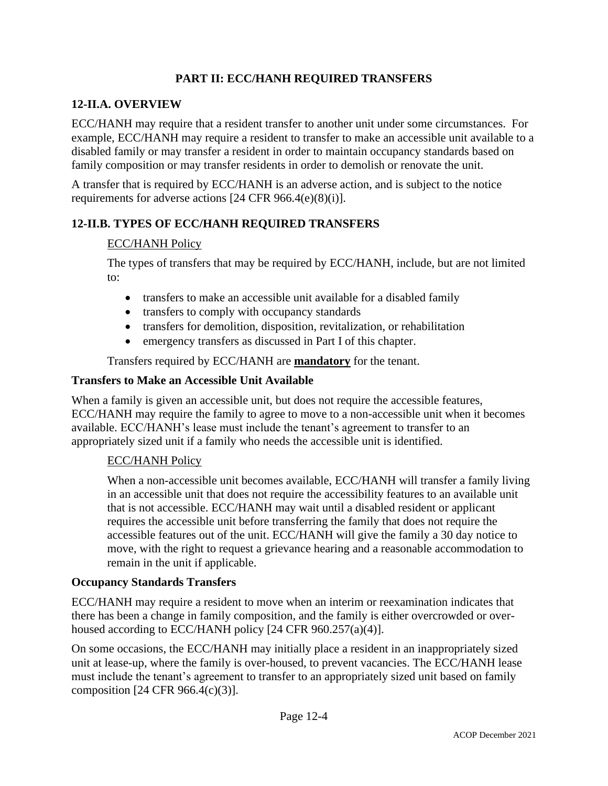## **PART II: ECC/HANH REQUIRED TRANSFERS**

## **12-II.A. OVERVIEW**

ECC/HANH may require that a resident transfer to another unit under some circumstances. For example, ECC/HANH may require a resident to transfer to make an accessible unit available to a disabled family or may transfer a resident in order to maintain occupancy standards based on family composition or may transfer residents in order to demolish or renovate the unit.

A transfer that is required by ECC/HANH is an adverse action, and is subject to the notice requirements for adverse actions [24 CFR 966.4(e)(8)(i)].

# **12-II.B. TYPES OF ECC/HANH REQUIRED TRANSFERS**

## ECC/HANH Policy

The types of transfers that may be required by ECC/HANH, include, but are not limited to:

- transfers to make an accessible unit available for a disabled family
- transfers to comply with occupancy standards
- transfers for demolition, disposition, revitalization, or rehabilitation
- emergency transfers as discussed in Part I of this chapter.

Transfers required by ECC/HANH are **mandatory** for the tenant.

### **Transfers to Make an Accessible Unit Available**

When a family is given an accessible unit, but does not require the accessible features, ECC/HANH may require the family to agree to move to a non-accessible unit when it becomes available. ECC/HANH's lease must include the tenant's agreement to transfer to an appropriately sized unit if a family who needs the accessible unit is identified.

### ECC/HANH Policy

When a non-accessible unit becomes available, ECC/HANH will transfer a family living in an accessible unit that does not require the accessibility features to an available unit that is not accessible. ECC/HANH may wait until a disabled resident or applicant requires the accessible unit before transferring the family that does not require the accessible features out of the unit. ECC/HANH will give the family a 30 day notice to move, with the right to request a grievance hearing and a reasonable accommodation to remain in the unit if applicable.

### **Occupancy Standards Transfers**

ECC/HANH may require a resident to move when an interim or reexamination indicates that there has been a change in family composition, and the family is either overcrowded or overhoused according to ECC/HANH policy [24 CFR 960.257(a)(4)].

On some occasions, the ECC/HANH may initially place a resident in an inappropriately sized unit at lease-up, where the family is over-housed, to prevent vacancies. The ECC/HANH lease must include the tenant's agreement to transfer to an appropriately sized unit based on family composition [24 CFR 966.4(c)(3)].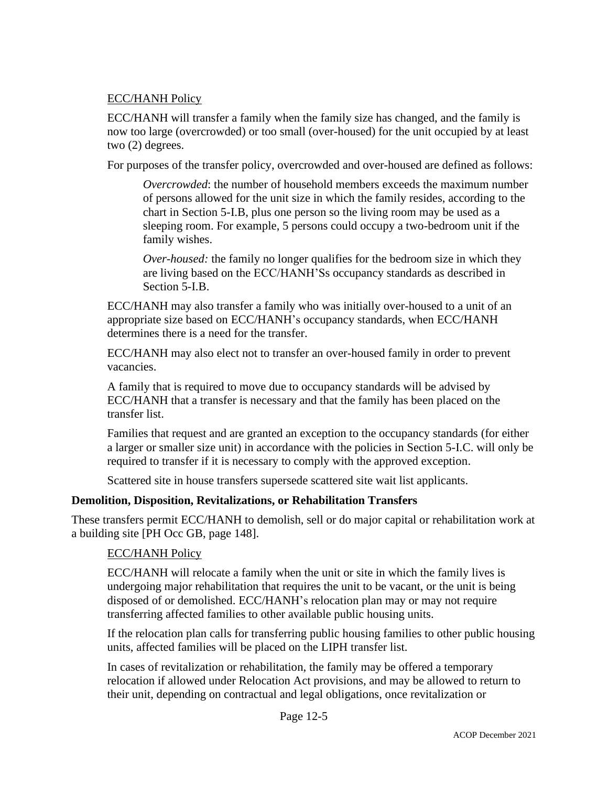### ECC/HANH Policy

ECC/HANH will transfer a family when the family size has changed, and the family is now too large (overcrowded) or too small (over-housed) for the unit occupied by at least two (2) degrees.

For purposes of the transfer policy, overcrowded and over-housed are defined as follows:

*Overcrowded*: the number of household members exceeds the maximum number of persons allowed for the unit size in which the family resides, according to the chart in Section 5-I.B, plus one person so the living room may be used as a sleeping room. For example, 5 persons could occupy a two-bedroom unit if the family wishes.

*Over-housed:* the family no longer qualifies for the bedroom size in which they are living based on the ECC/HANH'Ss occupancy standards as described in Section 5-I.B.

ECC/HANH may also transfer a family who was initially over-housed to a unit of an appropriate size based on ECC/HANH's occupancy standards, when ECC/HANH determines there is a need for the transfer.

ECC/HANH may also elect not to transfer an over-housed family in order to prevent vacancies.

A family that is required to move due to occupancy standards will be advised by ECC/HANH that a transfer is necessary and that the family has been placed on the transfer list.

Families that request and are granted an exception to the occupancy standards (for either a larger or smaller size unit) in accordance with the policies in Section 5-I.C. will only be required to transfer if it is necessary to comply with the approved exception.

Scattered site in house transfers supersede scattered site wait list applicants.

### **Demolition, Disposition, Revitalizations, or Rehabilitation Transfers**

These transfers permit ECC/HANH to demolish, sell or do major capital or rehabilitation work at a building site [PH Occ GB, page 148].

### ECC/HANH Policy

ECC/HANH will relocate a family when the unit or site in which the family lives is undergoing major rehabilitation that requires the unit to be vacant, or the unit is being disposed of or demolished. ECC/HANH's relocation plan may or may not require transferring affected families to other available public housing units.

If the relocation plan calls for transferring public housing families to other public housing units, affected families will be placed on the LIPH transfer list.

In cases of revitalization or rehabilitation, the family may be offered a temporary relocation if allowed under Relocation Act provisions, and may be allowed to return to their unit, depending on contractual and legal obligations, once revitalization or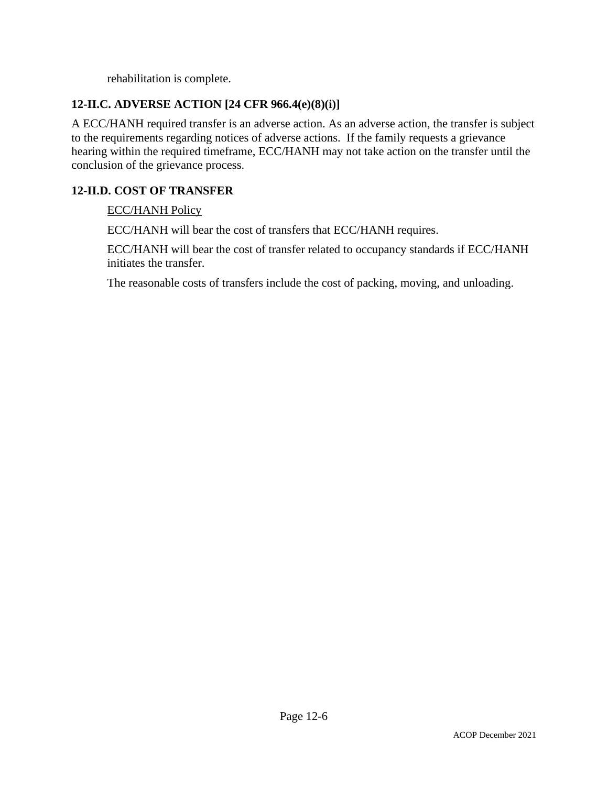rehabilitation is complete.

## **12-II.C. ADVERSE ACTION [24 CFR 966.4(e)(8)(i)]**

A ECC/HANH required transfer is an adverse action. As an adverse action, the transfer is subject to the requirements regarding notices of adverse actions. If the family requests a grievance hearing within the required timeframe, ECC/HANH may not take action on the transfer until the conclusion of the grievance process.

## **12-II.D. COST OF TRANSFER**

### ECC/HANH Policy

ECC/HANH will bear the cost of transfers that ECC/HANH requires.

ECC/HANH will bear the cost of transfer related to occupancy standards if ECC/HANH initiates the transfer.

The reasonable costs of transfers include the cost of packing, moving, and unloading.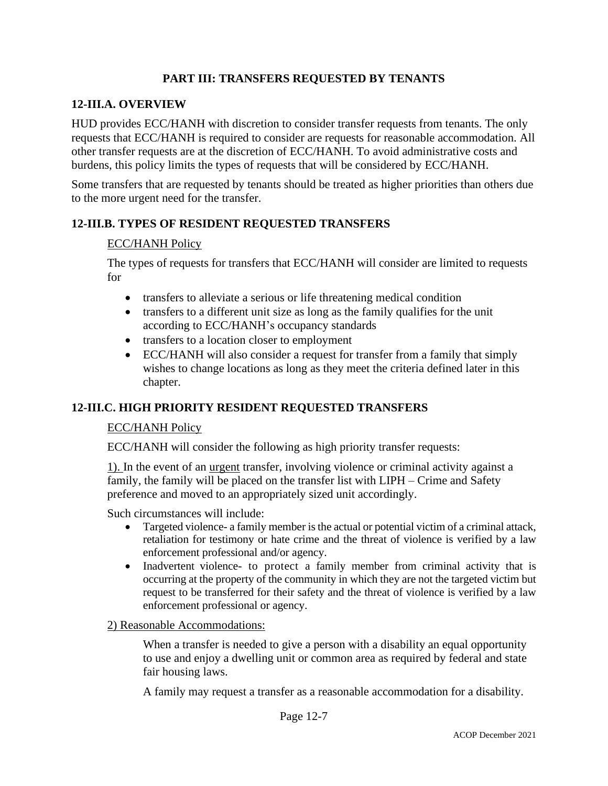## **PART III: TRANSFERS REQUESTED BY TENANTS**

### **12-III.A. OVERVIEW**

HUD provides ECC/HANH with discretion to consider transfer requests from tenants. The only requests that ECC/HANH is required to consider are requests for reasonable accommodation. All other transfer requests are at the discretion of ECC/HANH. To avoid administrative costs and burdens, this policy limits the types of requests that will be considered by ECC/HANH.

Some transfers that are requested by tenants should be treated as higher priorities than others due to the more urgent need for the transfer.

## **12-III.B. TYPES OF RESIDENT REQUESTED TRANSFERS**

### ECC/HANH Policy

The types of requests for transfers that ECC/HANH will consider are limited to requests for

- transfers to alleviate a serious or life threatening medical condition
- transfers to a different unit size as long as the family qualifies for the unit according to ECC/HANH's occupancy standards
- transfers to a location closer to employment
- ECC/HANH will also consider a request for transfer from a family that simply wishes to change locations as long as they meet the criteria defined later in this chapter.

### **12-III.C. HIGH PRIORITY RESIDENT REQUESTED TRANSFERS**

#### ECC/HANH Policy

ECC/HANH will consider the following as high priority transfer requests:

1). In the event of an urgent transfer, involving violence or criminal activity against a family, the family will be placed on the transfer list with LIPH – Crime and Safety preference and moved to an appropriately sized unit accordingly.

Such circumstances will include:

- Targeted violence- a family member is the actual or potential victim of a criminal attack, retaliation for testimony or hate crime and the threat of violence is verified by a law enforcement professional and/or agency.
- Inadvertent violence- to protect a family member from criminal activity that is occurring at the property of the community in which they are not the targeted victim but request to be transferred for their safety and the threat of violence is verified by a law enforcement professional or agency.

#### 2) Reasonable Accommodations:

When a transfer is needed to give a person with a disability an equal opportunity to use and enjoy a dwelling unit or common area as required by federal and state fair housing laws.

A family may request a transfer as a reasonable accommodation for a disability.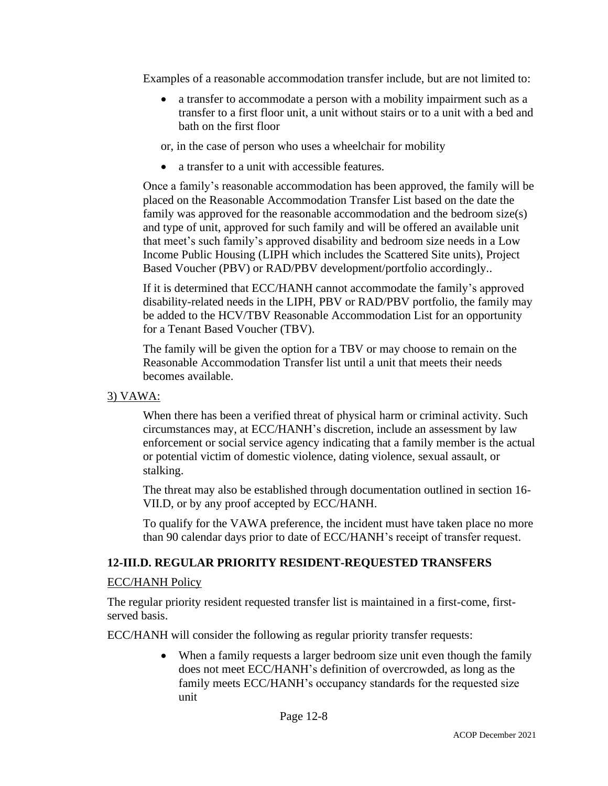Examples of a reasonable accommodation transfer include, but are not limited to:

• a transfer to accommodate a person with a mobility impairment such as a transfer to a first floor unit, a unit without stairs or to a unit with a bed and bath on the first floor

or, in the case of person who uses a wheelchair for mobility

• a transfer to a unit with accessible features.

Once a family's reasonable accommodation has been approved, the family will be placed on the Reasonable Accommodation Transfer List based on the date the family was approved for the reasonable accommodation and the bedroom size(s) and type of unit, approved for such family and will be offered an available unit that meet's such family's approved disability and bedroom size needs in a Low Income Public Housing (LIPH which includes the Scattered Site units), Project Based Voucher (PBV) or RAD/PBV development/portfolio accordingly..

If it is determined that ECC/HANH cannot accommodate the family's approved disability-related needs in the LIPH, PBV or RAD/PBV portfolio, the family may be added to the HCV/TBV Reasonable Accommodation List for an opportunity for a Tenant Based Voucher (TBV).

The family will be given the option for a TBV or may choose to remain on the Reasonable Accommodation Transfer list until a unit that meets their needs becomes available.

### 3) VAWA:

When there has been a verified threat of physical harm or criminal activity. Such circumstances may, at ECC/HANH's discretion, include an assessment by law enforcement or social service agency indicating that a family member is the actual or potential victim of domestic violence, dating violence, sexual assault, or stalking.

The threat may also be established through documentation outlined in section 16- VII.D, or by any proof accepted by ECC/HANH.

To qualify for the VAWA preference, the incident must have taken place no more than 90 calendar days prior to date of ECC/HANH's receipt of transfer request.

## **12-III.D. REGULAR PRIORITY RESIDENT-REQUESTED TRANSFERS**

### ECC/HANH Policy

The regular priority resident requested transfer list is maintained in a first-come, firstserved basis.

ECC/HANH will consider the following as regular priority transfer requests:

• When a family requests a larger bedroom size unit even though the family does not meet ECC/HANH's definition of overcrowded, as long as the family meets ECC/HANH's occupancy standards for the requested size unit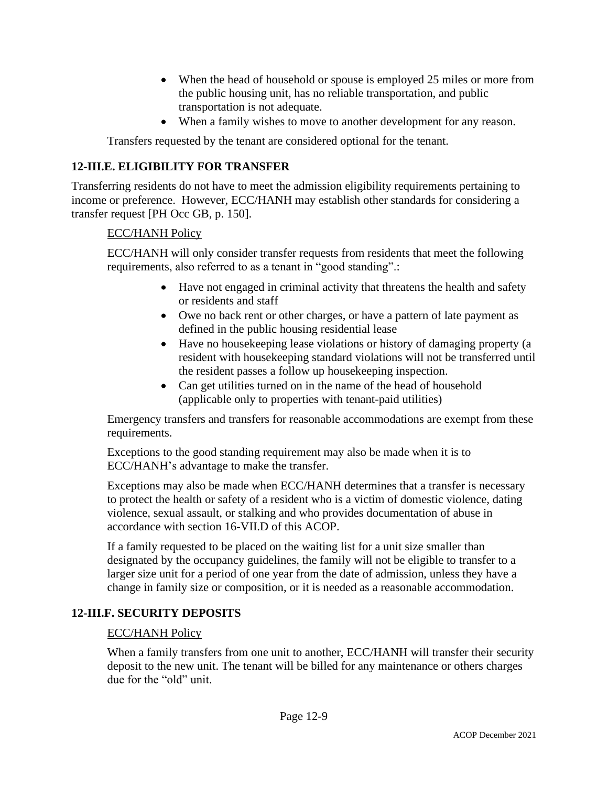- When the head of household or spouse is employed 25 miles or more from the public housing unit, has no reliable transportation, and public transportation is not adequate.
- When a family wishes to move to another development for any reason.

Transfers requested by the tenant are considered optional for the tenant.

## **12-III.E. ELIGIBILITY FOR TRANSFER**

Transferring residents do not have to meet the admission eligibility requirements pertaining to income or preference. However, ECC/HANH may establish other standards for considering a transfer request [PH Occ GB, p. 150].

### ECC/HANH Policy

ECC/HANH will only consider transfer requests from residents that meet the following requirements, also referred to as a tenant in "good standing".:

- Have not engaged in criminal activity that threatens the health and safety or residents and staff
- Owe no back rent or other charges, or have a pattern of late payment as defined in the public housing residential lease
- Have no housekeeping lease violations or history of damaging property (a resident with housekeeping standard violations will not be transferred until the resident passes a follow up housekeeping inspection.
- Can get utilities turned on in the name of the head of household (applicable only to properties with tenant-paid utilities)

Emergency transfers and transfers for reasonable accommodations are exempt from these requirements.

Exceptions to the good standing requirement may also be made when it is to ECC/HANH's advantage to make the transfer.

Exceptions may also be made when ECC/HANH determines that a transfer is necessary to protect the health or safety of a resident who is a victim of domestic violence, dating violence, sexual assault, or stalking and who provides documentation of abuse in accordance with section 16-VII.D of this ACOP.

If a family requested to be placed on the waiting list for a unit size smaller than designated by the occupancy guidelines, the family will not be eligible to transfer to a larger size unit for a period of one year from the date of admission, unless they have a change in family size or composition, or it is needed as a reasonable accommodation.

### **12-III.F. SECURITY DEPOSITS**

#### ECC/HANH Policy

When a family transfers from one unit to another, ECC/HANH will transfer their security deposit to the new unit. The tenant will be billed for any maintenance or others charges due for the "old" unit.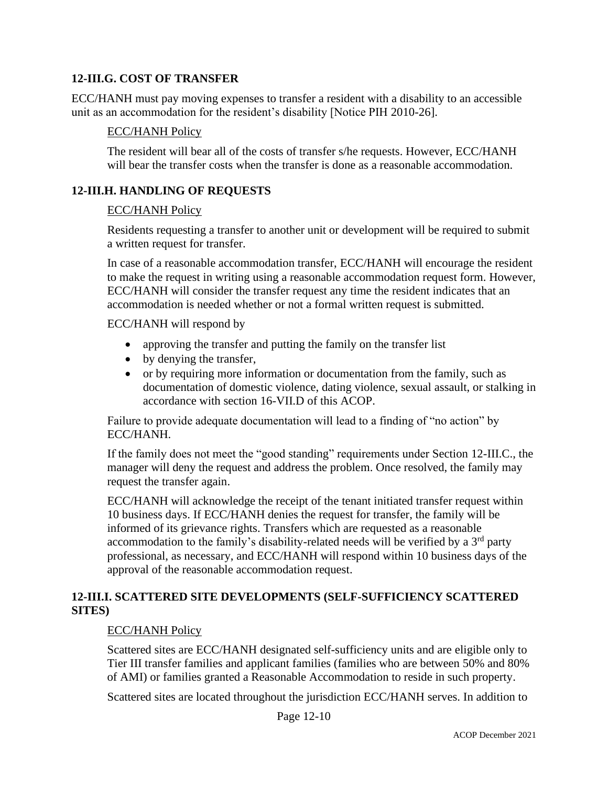### **12-III.G. COST OF TRANSFER**

ECC/HANH must pay moving expenses to transfer a resident with a disability to an accessible unit as an accommodation for the resident's disability [Notice PIH 2010-26].

### ECC/HANH Policy

The resident will bear all of the costs of transfer s/he requests. However, ECC/HANH will bear the transfer costs when the transfer is done as a reasonable accommodation.

### **12-III.H. HANDLING OF REQUESTS**

#### ECC/HANH Policy

Residents requesting a transfer to another unit or development will be required to submit a written request for transfer.

In case of a reasonable accommodation transfer, ECC/HANH will encourage the resident to make the request in writing using a reasonable accommodation request form. However, ECC/HANH will consider the transfer request any time the resident indicates that an accommodation is needed whether or not a formal written request is submitted.

#### ECC/HANH will respond by

- approving the transfer and putting the family on the transfer list
- by denying the transfer,
- or by requiring more information or documentation from the family, such as documentation of domestic violence, dating violence, sexual assault, or stalking in accordance with section 16-VII.D of this ACOP.

Failure to provide adequate documentation will lead to a finding of "no action" by ECC/HANH.

If the family does not meet the "good standing" requirements under Section 12-III.C., the manager will deny the request and address the problem. Once resolved, the family may request the transfer again.

ECC/HANH will acknowledge the receipt of the tenant initiated transfer request within 10 business days. If ECC/HANH denies the request for transfer, the family will be informed of its grievance rights. Transfers which are requested as a reasonable accommodation to the family's disability-related needs will be verified by a  $3<sup>rd</sup>$  party professional, as necessary, and ECC/HANH will respond within 10 business days of the approval of the reasonable accommodation request.

## **12-III.I. SCATTERED SITE DEVELOPMENTS (SELF-SUFFICIENCY SCATTERED SITES)**

### ECC/HANH Policy

Scattered sites are ECC/HANH designated self-sufficiency units and are eligible only to Tier III transfer families and applicant families (families who are between 50% and 80% of AMI) or families granted a Reasonable Accommodation to reside in such property.

Scattered sites are located throughout the jurisdiction ECC/HANH serves. In addition to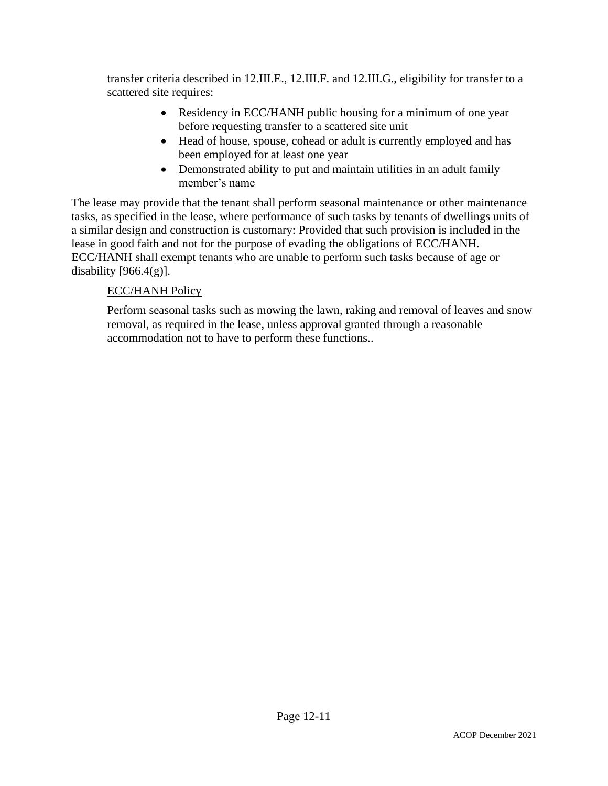transfer criteria described in 12.III.E., 12.III.F. and 12.III.G., eligibility for transfer to a scattered site requires:

- Residency in ECC/HANH public housing for a minimum of one year before requesting transfer to a scattered site unit
- Head of house, spouse, cohead or adult is currently employed and has been employed for at least one year
- Demonstrated ability to put and maintain utilities in an adult family member's name

The lease may provide that the tenant shall perform seasonal maintenance or other maintenance tasks, as specified in the lease, where performance of such tasks by tenants of dwellings units of a similar design and construction is customary: Provided that such provision is included in the lease in good faith and not for the purpose of evading the obligations of ECC/HANH. ECC/HANH shall exempt tenants who are unable to perform such tasks because of age or disability  $[966.4(g)]$ .

# ECC/HANH Policy

Perform seasonal tasks such as mowing the lawn, raking and removal of leaves and snow removal, as required in the lease, unless approval granted through a reasonable accommodation not to have to perform these functions..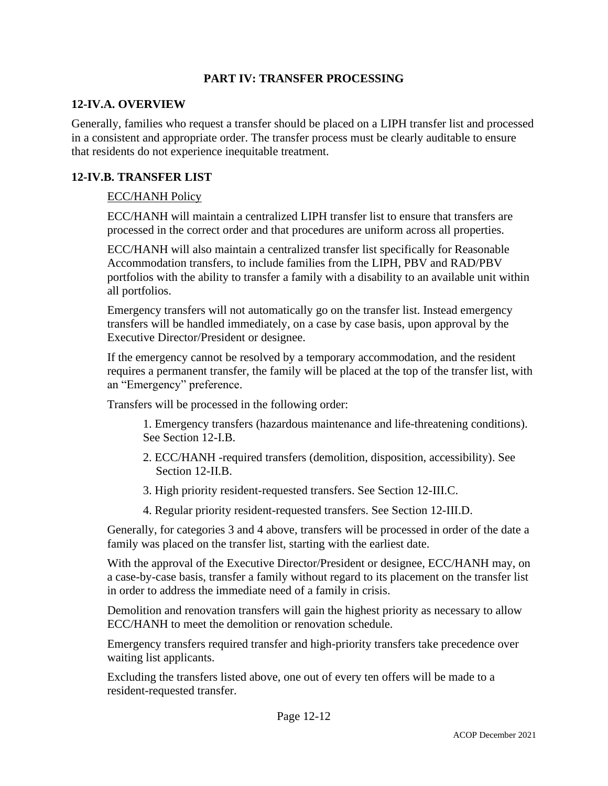### **PART IV: TRANSFER PROCESSING**

### **12-IV.A. OVERVIEW**

Generally, families who request a transfer should be placed on a LIPH transfer list and processed in a consistent and appropriate order. The transfer process must be clearly auditable to ensure that residents do not experience inequitable treatment.

### **12-IV.B. TRANSFER LIST**

### ECC/HANH Policy

ECC/HANH will maintain a centralized LIPH transfer list to ensure that transfers are processed in the correct order and that procedures are uniform across all properties.

ECC/HANH will also maintain a centralized transfer list specifically for Reasonable Accommodation transfers, to include families from the LIPH, PBV and RAD/PBV portfolios with the ability to transfer a family with a disability to an available unit within all portfolios.

Emergency transfers will not automatically go on the transfer list. Instead emergency transfers will be handled immediately, on a case by case basis, upon approval by the Executive Director/President or designee.

If the emergency cannot be resolved by a temporary accommodation, and the resident requires a permanent transfer, the family will be placed at the top of the transfer list, with an "Emergency" preference.

Transfers will be processed in the following order:

1. Emergency transfers (hazardous maintenance and life-threatening conditions). See Section 12-I.B.

- 2. ECC/HANH -required transfers (demolition, disposition, accessibility). See Section 12-II.B.
- 3. High priority resident-requested transfers. See Section 12-III.C.
- 4. Regular priority resident-requested transfers. See Section 12-III.D.

Generally, for categories 3 and 4 above, transfers will be processed in order of the date a family was placed on the transfer list, starting with the earliest date.

With the approval of the Executive Director/President or designee, ECC/HANH may, on a case-by-case basis, transfer a family without regard to its placement on the transfer list in order to address the immediate need of a family in crisis.

Demolition and renovation transfers will gain the highest priority as necessary to allow ECC/HANH to meet the demolition or renovation schedule.

Emergency transfers required transfer and high-priority transfers take precedence over waiting list applicants.

Excluding the transfers listed above, one out of every ten offers will be made to a resident-requested transfer.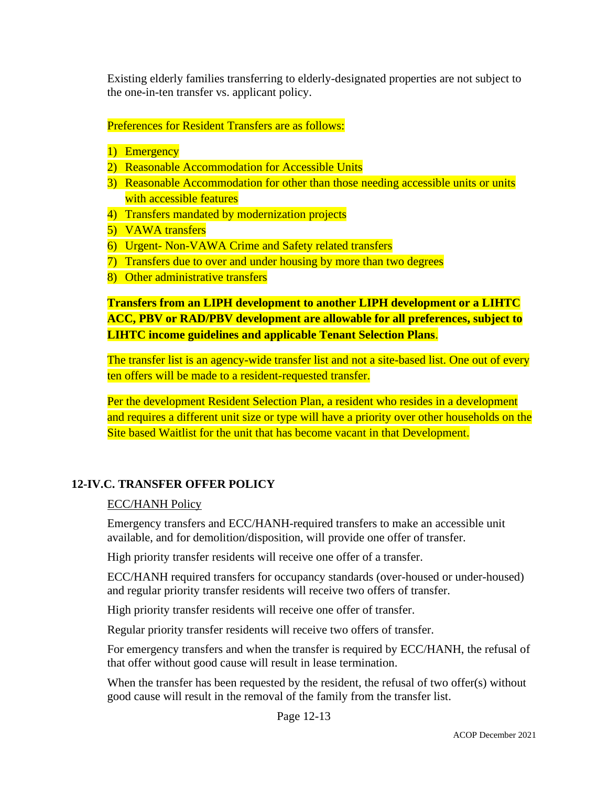Existing elderly families transferring to elderly-designated properties are not subject to the one-in-ten transfer vs. applicant policy.

### Preferences for Resident Transfers are as follows:

- 1) Emergency
- 2) Reasonable Accommodation for Accessible Units
- 3) Reasonable Accommodation for other than those needing accessible units or units with accessible features
- 4) Transfers mandated by modernization projects
- 5) VAWA transfers
- 6) Urgent- Non-VAWA Crime and Safety related transfers
- 7) Transfers due to over and under housing by more than two degrees
- 8) Other administrative transfers

# **Transfers from an LIPH development to another LIPH development or a LIHTC ACC, PBV or RAD/PBV development are allowable for all preferences, subject to LIHTC income guidelines and applicable Tenant Selection Plans**.

The transfer list is an agency-wide transfer list and not a site-based list. One out of every ten offers will be made to a resident-requested transfer.

Per the development Resident Selection Plan, a resident who resides in a development and requires a different unit size or type will have a priority over other households on the Site based Waitlist for the unit that has become vacant in that Development.

### **12-IV.C. TRANSFER OFFER POLICY**

#### ECC/HANH Policy

Emergency transfers and ECC/HANH-required transfers to make an accessible unit available, and for demolition/disposition, will provide one offer of transfer.

High priority transfer residents will receive one offer of a transfer.

ECC/HANH required transfers for occupancy standards (over-housed or under-housed) and regular priority transfer residents will receive two offers of transfer.

High priority transfer residents will receive one offer of transfer.

Regular priority transfer residents will receive two offers of transfer.

For emergency transfers and when the transfer is required by ECC/HANH, the refusal of that offer without good cause will result in lease termination.

When the transfer has been requested by the resident, the refusal of two offer(s) without good cause will result in the removal of the family from the transfer list.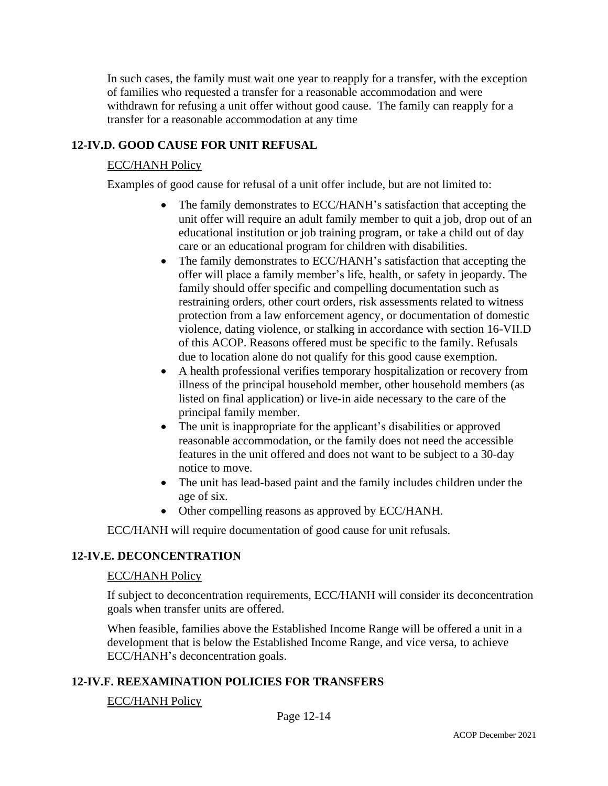In such cases, the family must wait one year to reapply for a transfer, with the exception of families who requested a transfer for a reasonable accommodation and were withdrawn for refusing a unit offer without good cause. The family can reapply for a transfer for a reasonable accommodation at any time

### **12-IV.D. GOOD CAUSE FOR UNIT REFUSAL**

### ECC/HANH Policy

Examples of good cause for refusal of a unit offer include, but are not limited to:

- The family demonstrates to ECC/HANH's satisfaction that accepting the unit offer will require an adult family member to quit a job, drop out of an educational institution or job training program, or take a child out of day care or an educational program for children with disabilities.
- The family demonstrates to ECC/HANH's satisfaction that accepting the offer will place a family member's life, health, or safety in jeopardy. The family should offer specific and compelling documentation such as restraining orders, other court orders, risk assessments related to witness protection from a law enforcement agency, or documentation of domestic violence, dating violence, or stalking in accordance with section 16-VII.D of this ACOP. Reasons offered must be specific to the family. Refusals due to location alone do not qualify for this good cause exemption.
- A health professional verifies temporary hospitalization or recovery from illness of the principal household member, other household members (as listed on final application) or live-in aide necessary to the care of the principal family member.
- The unit is inappropriate for the applicant's disabilities or approved reasonable accommodation, or the family does not need the accessible features in the unit offered and does not want to be subject to a 30-day notice to move.
- The unit has lead-based paint and the family includes children under the age of six.
- Other compelling reasons as approved by ECC/HANH.

ECC/HANH will require documentation of good cause for unit refusals.

### **12-IV.E. DECONCENTRATION**

#### ECC/HANH Policy

If subject to deconcentration requirements, ECC/HANH will consider its deconcentration goals when transfer units are offered.

When feasible, families above the Established Income Range will be offered a unit in a development that is below the Established Income Range, and vice versa, to achieve ECC/HANH's deconcentration goals.

### **12-IV.F. REEXAMINATION POLICIES FOR TRANSFERS**

#### ECC/HANH Policy